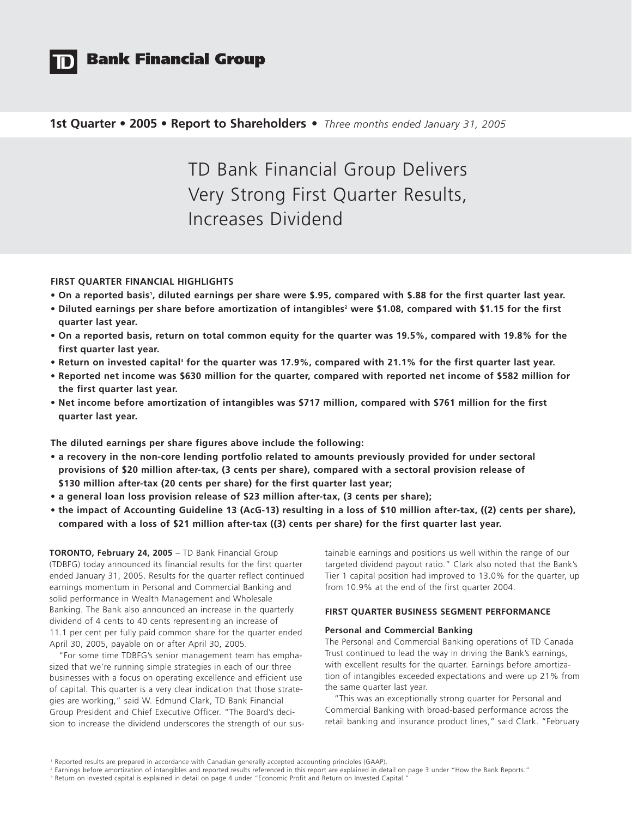

# **Bank Financial Group**

# **1st Quarter • 2005 • Report to Shareholders •** *Three months ended January 31, 2005*

TD Bank Financial Group Delivers Very Strong First Quarter Results, Increases Dividend

## **FIRST QUARTER FINANCIAL HIGHLIGHTS**

- **On a reported basis1 , diluted earnings per share were \$.95, compared with \$.88 for the first quarter last year.**
- Diluted earnings per share before amortization of intangibles<sup>2</sup> were \$1.08, compared with \$1.15 for the first **quarter last year.**
- **On a reported basis, return on total common equity for the quarter was 19.5%, compared with 19.8% for the first quarter last year.**
- **Return on invested capital3 for the quarter was 17.9%, compared with 21.1% for the first quarter last year.**
- **Reported net income was \$630 million for the quarter, compared with reported net income of \$582 million for the first quarter last year.**
- **Net income before amortization of intangibles was \$717 million, compared with \$761 million for the first quarter last year.**

**The diluted earnings per share figures above include the following:**

- **a recovery in the non-core lending portfolio related to amounts previously provided for under sectoral provisions of \$20 million after-tax, (3 cents per share), compared with a sectoral provision release of \$130 million after-tax (20 cents per share) for the first quarter last year;**
- **a general loan loss provision release of \$23 million after-tax, (3 cents per share);**
- **the impact of Accounting Guideline 13 (AcG-13) resulting in a loss of \$10 million after-tax, ((2) cents per share), compared with a loss of \$21 million after-tax ((3) cents per share) for the first quarter last year.**

**TORONTO, February 24, 2005** – TD Bank Financial Group (TDBFG) today announced its financial results for the first quarter ended January 31, 2005. Results for the quarter reflect continued earnings momentum in Personal and Commercial Banking and solid performance in Wealth Management and Wholesale Banking. The Bank also announced an increase in the quarterly dividend of 4 cents to 40 cents representing an increase of 11.1 per cent per fully paid common share for the quarter ended April 30, 2005, payable on or after April 30, 2005.

"For some time TDBFG's senior management team has emphasized that we're running simple strategies in each of our three businesses with a focus on operating excellence and efficient use of capital. This quarter is a very clear indication that those strategies are working," said W. Edmund Clark, TD Bank Financial Group President and Chief Executive Officer. "The Board's decision to increase the dividend underscores the strength of our sustainable earnings and positions us well within the range of our targeted dividend payout ratio." Clark also noted that the Bank's Tier 1 capital position had improved to 13.0% for the quarter, up from 10.9% at the end of the first quarter 2004.

# **FIRST QUARTER BUSINESS SEGMENT PERFORMANCE**

## **Personal and Commercial Banking**

The Personal and Commercial Banking operations of TD Canada Trust continued to lead the way in driving the Bank's earnings, with excellent results for the quarter. Earnings before amortization of intangibles exceeded expectations and were up 21% from the same quarter last year.

"This was an exceptionally strong quarter for Personal and Commercial Banking with broad-based performance across the retail banking and insurance product lines," said Clark. "February

<sup>1</sup> Reported results are prepared in accordance with Canadian generally accepted accounting principles (GAAP).

<sup>2</sup> Earnings before amortization of intangibles and reported results referenced in this report are explained in detail on page 3 under "How the Bank Reports."

<sup>&</sup>lt;sup>3</sup> Return on invested capital is explained in detail on page 4 under "Economic Profit and Return on Invested Capital."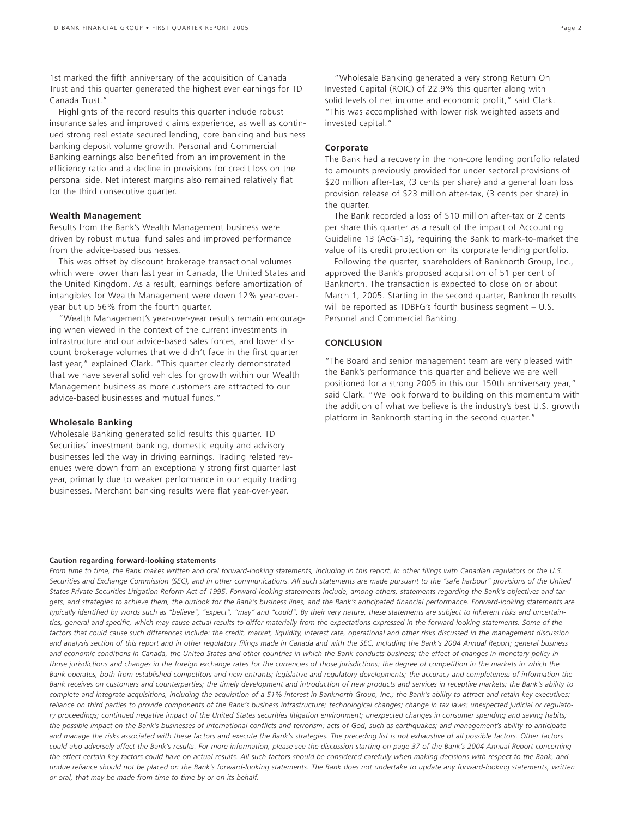1st marked the fifth anniversary of the acquisition of Canada Trust and this quarter generated the highest ever earnings for TD Canada Trust."

Highlights of the record results this quarter include robust insurance sales and improved claims experience, as well as continued strong real estate secured lending, core banking and business banking deposit volume growth. Personal and Commercial Banking earnings also benefited from an improvement in the efficiency ratio and a decline in provisions for credit loss on the personal side. Net interest margins also remained relatively flat for the third consecutive quarter.

### **Wealth Management**

Results from the Bank's Wealth Management business were driven by robust mutual fund sales and improved performance from the advice-based businesses.

This was offset by discount brokerage transactional volumes which were lower than last year in Canada, the United States and the United Kingdom. As a result, earnings before amortization of intangibles for Wealth Management were down 12% year-overyear but up 56% from the fourth quarter.

"Wealth Management's year-over-year results remain encouraging when viewed in the context of the current investments in infrastructure and our advice-based sales forces, and lower discount brokerage volumes that we didn't face in the first quarter last year," explained Clark. "This quarter clearly demonstrated that we have several solid vehicles for growth within our Wealth Management business as more customers are attracted to our advice-based businesses and mutual funds."

### **Wholesale Banking**

Wholesale Banking generated solid results this quarter. TD Securities' investment banking, domestic equity and advisory businesses led the way in driving earnings. Trading related revenues were down from an exceptionally strong first quarter last year, primarily due to weaker performance in our equity trading businesses. Merchant banking results were flat year-over-year.

"Wholesale Banking generated a very strong Return On Invested Capital (ROIC) of 22.9% this quarter along with solid levels of net income and economic profit," said Clark. "This was accomplished with lower risk weighted assets and invested capital."

### **Corporate**

The Bank had a recovery in the non-core lending portfolio related to amounts previously provided for under sectoral provisions of \$20 million after-tax, (3 cents per share) and a general loan loss provision release of \$23 million after-tax, (3 cents per share) in the quarter.

The Bank recorded a loss of \$10 million after-tax or 2 cents per share this quarter as a result of the impact of Accounting Guideline 13 (AcG-13), requiring the Bank to mark-to-market the value of its credit protection on its corporate lending portfolio.

Following the quarter, shareholders of Banknorth Group, Inc., approved the Bank's proposed acquisition of 51 per cent of Banknorth. The transaction is expected to close on or about March 1, 2005. Starting in the second quarter, Banknorth results will be reported as TDBFG's fourth business segment – U.S. Personal and Commercial Banking.

### **CONCLUSION**

"The Board and senior management team are very pleased with the Bank's performance this quarter and believe we are well positioned for a strong 2005 in this our 150th anniversary year," said Clark. "We look forward to building on this momentum with the addition of what we believe is the industry's best U.S. growth platform in Banknorth starting in the second quarter."

### **Caution regarding forward-looking statements**

*From time to time, the Bank makes written and oral forward-looking statements, including in this report, in other filings with Canadian regulators or the U.S. Securities and Exchange Commission (SEC), and in other communications. All such statements are made pursuant to the "safe harbour" provisions of the United States Private Securities Litigation Reform Act of 1995. Forward-looking statements include, among others, statements regarding the Bank's objectives and targets, and strategies to achieve them, the outlook for the Bank's business lines, and the Bank's anticipated financial performance. Forward-looking statements are typically identified by words such as "believe", "expect", "may" and "could". By their very nature, these statements are subject to inherent risks and uncertainties, general and specific, which may cause actual results to differ materially from the expectations expressed in the forward-looking statements. Some of the factors that could cause such differences include: the credit, market, liquidity, interest rate, operational and other risks discussed in the management discussion and analysis section of this report and in other regulatory filings made in Canada and with the SEC, including the Bank's 2004 Annual Report; general business and economic conditions in Canada, the United States and other countries in which the Bank conducts business; the effect of changes in monetary policy in those jurisdictions and changes in the foreign exchange rates for the currencies of those jurisdictions; the degree of competition in the markets in which the Bank operates, both from established competitors and new entrants; legislative and regulatory developments; the accuracy and completeness of information the Bank receives on customers and counterparties; the timely development and introduction of new products and services in receptive markets; the Bank's ability to complete and integrate acquisitions, including the acquisition of a 51% interest in Banknorth Group, Inc.; the Bank's ability to attract and retain key executives; reliance on third parties to provide components of the Bank's business infrastructure; technological changes; change in tax laws; unexpected judicial or regulatory proceedings; continued negative impact of the United States securities litigation environment; unexpected changes in consumer spending and saving habits; the possible impact on the Bank's businesses of international conflicts and terrorism; acts of God, such as earthquakes; and management's ability to anticipate and manage the risks associated with these factors and execute the Bank's strategies. The preceding list is not exhaustive of all possible factors. Other factors could also adversely affect the Bank's results. For more information, please see the discussion starting on page 37 of the Bank's 2004 Annual Report concerning the effect certain key factors could have on actual results. All such factors should be considered carefully when making decisions with respect to the Bank, and undue reliance should not be placed on the Bank's forward-looking statements. The Bank does not undertake to update any forward-looking statements, written or oral, that may be made from time to time by or on its behalf.*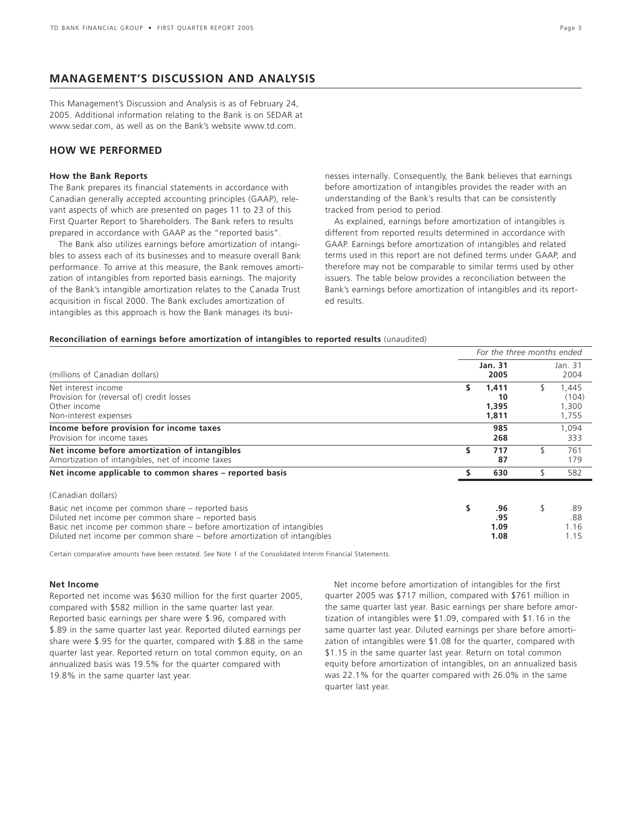# **MANAGEMENT'S DISCUSSION AND ANALYSIS**

This Management's Discussion and Analysis is as of February 24, 2005. Additional information relating to the Bank is on SEDAR at www.sedar.com, as well as on the Bank's website www.td.com.

# **HOW WE PERFORMED**

### **How the Bank Reports**

The Bank prepares its financial statements in accordance with Canadian generally accepted accounting principles (GAAP), relevant aspects of which are presented on pages 11 to 23 of this First Quarter Report to Shareholders. The Bank refers to results prepared in accordance with GAAP as the "reported basis".

The Bank also utilizes earnings before amortization of intangibles to assess each of its businesses and to measure overall Bank performance. To arrive at this measure, the Bank removes amortization of intangibles from reported basis earnings. The majority of the Bank's intangible amortization relates to the Canada Trust acquisition in fiscal 2000. The Bank excludes amortization of intangibles as this approach is how the Bank manages its businesses internally. Consequently, the Bank believes that earnings before amortization of intangibles provides the reader with an understanding of the Bank's results that can be consistently tracked from period to period.

As explained, earnings before amortization of intangibles is different from reported results determined in accordance with GAAP. Earnings before amortization of intangibles and related terms used in this report are not defined terms under GAAP, and therefore may not be comparable to similar terms used by other issuers. The table below provides a reconciliation between the Bank's earnings before amortization of intangibles and its reported results.

### **Reconciliation of earnings before amortization of intangibles to reported results** (unaudited)

|                                                                                                                                                                                                                                                                  |    | For the three months ended    |    |                                  |  |  |  |  |  |
|------------------------------------------------------------------------------------------------------------------------------------------------------------------------------------------------------------------------------------------------------------------|----|-------------------------------|----|----------------------------------|--|--|--|--|--|
| (millions of Canadian dollars)                                                                                                                                                                                                                                   |    | <b>Jan. 31</b><br>2005        |    | Jan. 31<br>2004                  |  |  |  |  |  |
| Net interest income<br>Provision for (reversal of) credit losses<br>Other income<br>Non-interest expenses                                                                                                                                                        | s  | 1,411<br>10<br>1,395<br>1,811 | S  | 1,445<br>(104)<br>1,300<br>1,755 |  |  |  |  |  |
| Income before provision for income taxes<br>Provision for income taxes                                                                                                                                                                                           |    | 985<br>268                    |    | 1,094<br>333                     |  |  |  |  |  |
| Net income before amortization of intangibles<br>Amortization of intangibles, net of income taxes                                                                                                                                                                | \$ | 717<br>87                     | \$ | 761<br>179                       |  |  |  |  |  |
| Net income applicable to common shares – reported basis                                                                                                                                                                                                          | s  | 630                           | \$ | 582                              |  |  |  |  |  |
| (Canadian dollars)                                                                                                                                                                                                                                               |    |                               |    |                                  |  |  |  |  |  |
| Basic net income per common share – reported basis<br>Diluted net income per common share – reported basis<br>Basic net income per common share – before amortization of intangibles<br>Diluted net income per common share – before amortization of intangibles | s  | .96<br>.95<br>1.09<br>1.08    | \$ | .89<br>.88<br>1.16<br>1.15       |  |  |  |  |  |

Certain comparative amounts have been restated. See Note 1 of the Consolidated Interim Financial Statements.

### **Net Income**

Reported net income was \$630 million for the first quarter 2005, compared with \$582 million in the same quarter last year. Reported basic earnings per share were \$.96, compared with \$.89 in the same quarter last year. Reported diluted earnings per share were \$.95 for the quarter, compared with \$.88 in the same quarter last year. Reported return on total common equity, on an annualized basis was 19.5% for the quarter compared with 19.8% in the same quarter last year.

Net income before amortization of intangibles for the first quarter 2005 was \$717 million, compared with \$761 million in the same quarter last year. Basic earnings per share before amortization of intangibles were \$1.09, compared with \$1.16 in the same quarter last year. Diluted earnings per share before amortization of intangibles were \$1.08 for the quarter, compared with \$1.15 in the same quarter last year. Return on total common equity before amortization of intangibles, on an annualized basis was 22.1% for the quarter compared with 26.0% in the same quarter last year.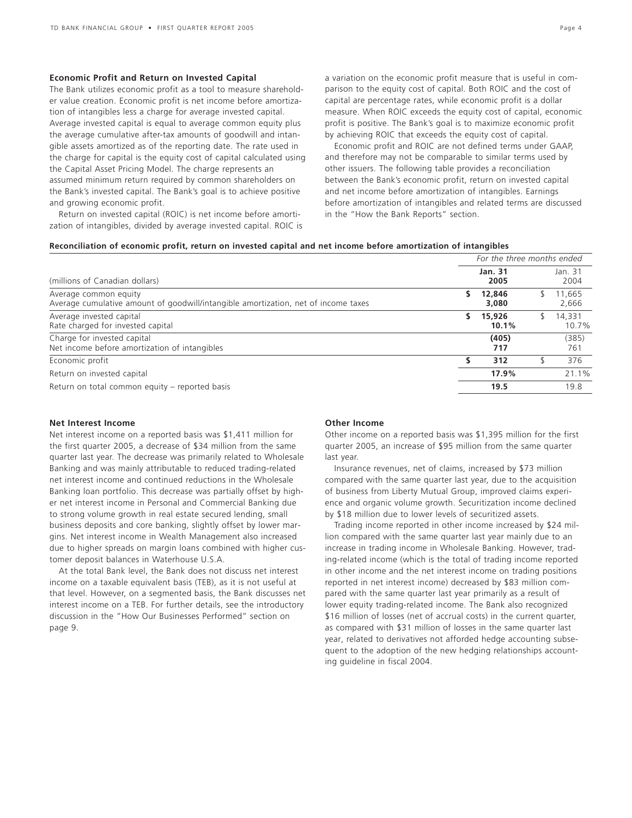### **Economic Profit and Return on Invested Capital**

The Bank utilizes economic profit as a tool to measure shareholder value creation. Economic profit is net income before amortization of intangibles less a charge for average invested capital. Average invested capital is equal to average common equity plus the average cumulative after-tax amounts of goodwill and intangible assets amortized as of the reporting date. The rate used in the charge for capital is the equity cost of capital calculated using the Capital Asset Pricing Model. The charge represents an assumed minimum return required by common shareholders on the Bank's invested capital. The Bank's goal is to achieve positive and growing economic profit.

Return on invested capital (ROIC) is net income before amortization of intangibles, divided by average invested capital. ROIC is a variation on the economic profit measure that is useful in comparison to the equity cost of capital. Both ROIC and the cost of capital are percentage rates, while economic profit is a dollar measure. When ROIC exceeds the equity cost of capital, economic profit is positive. The Bank's goal is to maximize economic profit by achieving ROIC that exceeds the equity cost of capital.

Economic profit and ROIC are not defined terms under GAAP, and therefore may not be comparable to similar terms used by other issuers. The following table provides a reconciliation between the Bank's economic profit, return on invested capital and net income before amortization of intangibles. Earnings before amortization of intangibles and related terms are discussed in the "How the Bank Reports" section.

### **Reconciliation of economic profit, return on invested capital and net income before amortization of intangibles**

|                                                                                                             |    | For the three months ended |  |                 |
|-------------------------------------------------------------------------------------------------------------|----|----------------------------|--|-----------------|
| (millions of Canadian dollars)                                                                              |    | Jan. 31<br>2005            |  |                 |
| Average common equity<br>Average cumulative amount of goodwill/intangible amortization, net of income taxes |    | 12,846<br>3,080            |  | 11.665<br>2,666 |
| Average invested capital<br>Rate charged for invested capital                                               | S. | 15,926<br>10.1%            |  | 14,331<br>10.7% |
| Charge for invested capital<br>Net income before amortization of intangibles                                |    | (405)<br>717               |  | (385)<br>761    |
| Economic profit                                                                                             |    | 312                        |  | 376             |
| Return on invested capital                                                                                  |    | 17.9%                      |  | 21.1%           |
| Return on total common equity – reported basis                                                              |    | 19.5                       |  | 19.8            |

### **Net Interest Income**

Net interest income on a reported basis was \$1,411 million for the first quarter 2005, a decrease of \$34 million from the same quarter last year. The decrease was primarily related to Wholesale Banking and was mainly attributable to reduced trading-related net interest income and continued reductions in the Wholesale Banking loan portfolio. This decrease was partially offset by higher net interest income in Personal and Commercial Banking due to strong volume growth in real estate secured lending, small business deposits and core banking, slightly offset by lower margins. Net interest income in Wealth Management also increased due to higher spreads on margin loans combined with higher customer deposit balances in Waterhouse U.S.A.

At the total Bank level, the Bank does not discuss net interest income on a taxable equivalent basis (TEB), as it is not useful at that level. However, on a segmented basis, the Bank discusses net interest income on a TEB. For further details, see the introductory discussion in the "How Our Businesses Performed" section on page 9.

### **Other Income**

Other income on a reported basis was \$1,395 million for the first quarter 2005, an increase of \$95 million from the same quarter last year.

Insurance revenues, net of claims, increased by \$73 million compared with the same quarter last year, due to the acquisition of business from Liberty Mutual Group, improved claims experience and organic volume growth. Securitization income declined by \$18 million due to lower levels of securitized assets.

Trading income reported in other income increased by \$24 million compared with the same quarter last year mainly due to an increase in trading income in Wholesale Banking. However, trading-related income (which is the total of trading income reported in other income and the net interest income on trading positions reported in net interest income) decreased by \$83 million compared with the same quarter last year primarily as a result of lower equity trading-related income. The Bank also recognized \$16 million of losses (net of accrual costs) in the current quarter, as compared with \$31 million of losses in the same quarter last year, related to derivatives not afforded hedge accounting subsequent to the adoption of the new hedging relationships accounting guideline in fiscal 2004.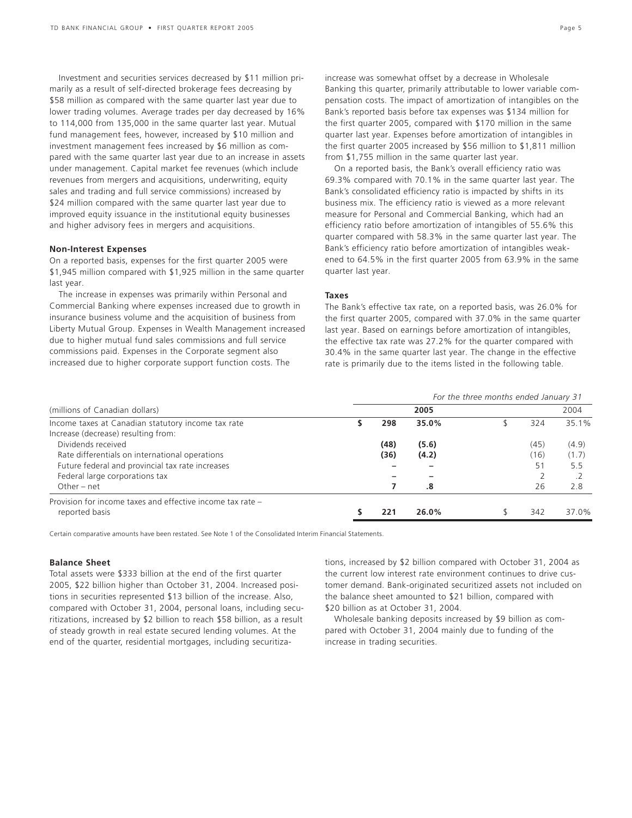Investment and securities services decreased by \$11 million primarily as a result of self-directed brokerage fees decreasing by \$58 million as compared with the same quarter last year due to lower trading volumes. Average trades per day decreased by 16% to 114,000 from 135,000 in the same quarter last year. Mutual fund management fees, however, increased by \$10 million and investment management fees increased by \$6 million as compared with the same quarter last year due to an increase in assets under management. Capital market fee revenues (which include revenues from mergers and acquisitions, underwriting, equity sales and trading and full service commissions) increased by \$24 million compared with the same quarter last year due to improved equity issuance in the institutional equity businesses and higher advisory fees in mergers and acquisitions.

### **Non-Interest Expenses**

On a reported basis, expenses for the first quarter 2005 were \$1,945 million compared with \$1,925 million in the same quarter last year.

The increase in expenses was primarily within Personal and Commercial Banking where expenses increased due to growth in insurance business volume and the acquisition of business from Liberty Mutual Group. Expenses in Wealth Management increased due to higher mutual fund sales commissions and full service commissions paid. Expenses in the Corporate segment also increased due to higher corporate support function costs. The

On a reported basis, the Bank's overall efficiency ratio was 69.3% compared with 70.1% in the same quarter last year. The Bank's consolidated efficiency ratio is impacted by shifts in its business mix. The efficiency ratio is viewed as a more relevant measure for Personal and Commercial Banking, which had an efficiency ratio before amortization of intangibles of 55.6% this quarter compared with 58.3% in the same quarter last year. The Bank's efficiency ratio before amortization of intangibles weakened to 64.5% in the first quarter 2005 from 63.9% in the same quarter last year.

### **Taxes**

The Bank's effective tax rate, on a reported basis, was 26.0% for the first quarter 2005, compared with 37.0% in the same quarter last year. Based on earnings before amortization of intangibles, the effective tax rate was 27.2% for the quarter compared with 30.4% in the same quarter last year. The change in the effective rate is primarily due to the items listed in the following table.

|                                                            | For the three months ended January 31 |      |       |  |      |       |  |  |  |
|------------------------------------------------------------|---------------------------------------|------|-------|--|------|-------|--|--|--|
| (millions of Canadian dollars)                             |                                       |      | 2005  |  |      | 2004  |  |  |  |
| Income taxes at Canadian statutory income tax rate         |                                       | 298  | 35.0% |  | 324  | 35.1% |  |  |  |
| Increase (decrease) resulting from:                        |                                       |      |       |  |      |       |  |  |  |
| Dividends received                                         |                                       | (48) | (5.6) |  | (45) | (4.9) |  |  |  |
| Rate differentials on international operations             |                                       | (36) | (4.2) |  | (16) | (1.7) |  |  |  |
| Future federal and provincial tax rate increases           |                                       |      |       |  | 51   | 5.5   |  |  |  |
| Federal large corporations tax                             |                                       |      |       |  |      |       |  |  |  |
| Other $-$ net                                              |                                       |      | .8    |  | 26   | 2.8   |  |  |  |
| Provision for income taxes and effective income tax rate - |                                       |      |       |  |      |       |  |  |  |
| reported basis                                             |                                       | 221  | 26.0% |  | 342  | 37.0% |  |  |  |

Certain comparative amounts have been restated. See Note 1 of the Consolidated Interim Financial Statements.

### **Balance Sheet**

Total assets were \$333 billion at the end of the first quarter 2005, \$22 billion higher than October 31, 2004. Increased positions in securities represented \$13 billion of the increase. Also, compared with October 31, 2004, personal loans, including securitizations, increased by \$2 billion to reach \$58 billion, as a result of steady growth in real estate secured lending volumes. At the end of the quarter, residential mortgages, including securitizations, increased by \$2 billion compared with October 31, 2004 as the current low interest rate environment continues to drive customer demand. Bank-originated securitized assets not included on the balance sheet amounted to \$21 billion, compared with \$20 billion as at October 31, 2004.

Wholesale banking deposits increased by \$9 billion as compared with October 31, 2004 mainly due to funding of the increase in trading securities.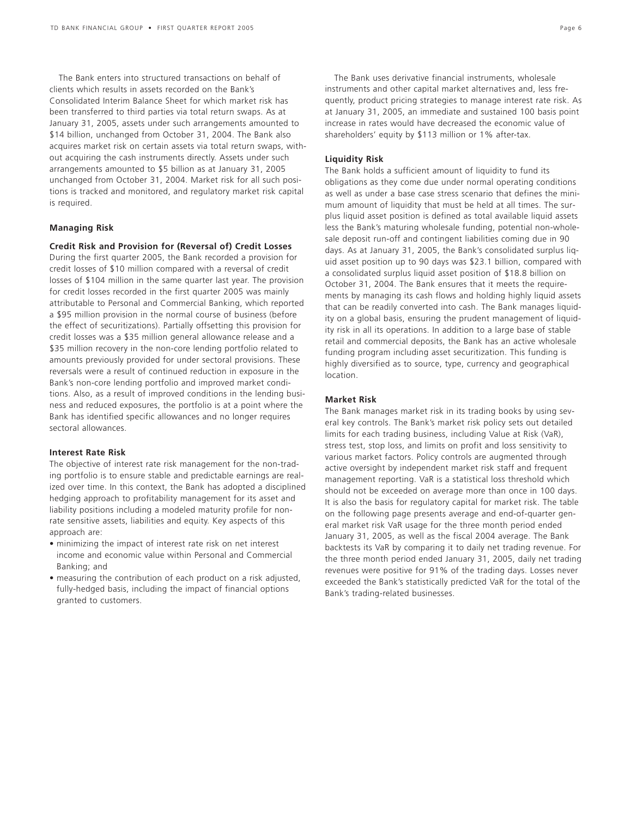The Bank enters into structured transactions on behalf of clients which results in assets recorded on the Bank's Consolidated Interim Balance Sheet for which market risk has been transferred to third parties via total return swaps. As at January 31, 2005, assets under such arrangements amounted to \$14 billion, unchanged from October 31, 2004. The Bank also acquires market risk on certain assets via total return swaps, without acquiring the cash instruments directly. Assets under such arrangements amounted to \$5 billion as at January 31, 2005 unchanged from October 31, 2004. Market risk for all such positions is tracked and monitored, and regulatory market risk capital is required.

### **Managing Risk**

### **Credit Risk and Provision for (Reversal of) Credit Losses**

During the first quarter 2005, the Bank recorded a provision for credit losses of \$10 million compared with a reversal of credit losses of \$104 million in the same quarter last year. The provision for credit losses recorded in the first quarter 2005 was mainly attributable to Personal and Commercial Banking, which reported a \$95 million provision in the normal course of business (before the effect of securitizations). Partially offsetting this provision for credit losses was a \$35 million general allowance release and a \$35 million recovery in the non-core lending portfolio related to amounts previously provided for under sectoral provisions. These reversals were a result of continued reduction in exposure in the Bank's non-core lending portfolio and improved market conditions. Also, as a result of improved conditions in the lending business and reduced exposures, the portfolio is at a point where the Bank has identified specific allowances and no longer requires sectoral allowances.

### **Interest Rate Risk**

The objective of interest rate risk management for the non-trading portfolio is to ensure stable and predictable earnings are realized over time. In this context, the Bank has adopted a disciplined hedging approach to profitability management for its asset and liability positions including a modeled maturity profile for nonrate sensitive assets, liabilities and equity. Key aspects of this approach are:

- minimizing the impact of interest rate risk on net interest income and economic value within Personal and Commercial Banking; and
- measuring the contribution of each product on a risk adjusted, fully-hedged basis, including the impact of financial options granted to customers.

The Bank uses derivative financial instruments, wholesale instruments and other capital market alternatives and, less frequently, product pricing strategies to manage interest rate risk. As at January 31, 2005, an immediate and sustained 100 basis point increase in rates would have decreased the economic value of shareholders' equity by \$113 million or 1% after-tax.

### **Liquidity Risk**

The Bank holds a sufficient amount of liquidity to fund its obligations as they come due under normal operating conditions as well as under a base case stress scenario that defines the minimum amount of liquidity that must be held at all times. The surplus liquid asset position is defined as total available liquid assets less the Bank's maturing wholesale funding, potential non-wholesale deposit run-off and contingent liabilities coming due in 90 days. As at January 31, 2005, the Bank's consolidated surplus liquid asset position up to 90 days was \$23.1 billion, compared with a consolidated surplus liquid asset position of \$18.8 billion on October 31, 2004. The Bank ensures that it meets the requirements by managing its cash flows and holding highly liquid assets that can be readily converted into cash. The Bank manages liquidity on a global basis, ensuring the prudent management of liquidity risk in all its operations. In addition to a large base of stable retail and commercial deposits, the Bank has an active wholesale funding program including asset securitization. This funding is highly diversified as to source, type, currency and geographical location.

### **Market Risk**

The Bank manages market risk in its trading books by using several key controls. The Bank's market risk policy sets out detailed limits for each trading business, including Value at Risk (VaR), stress test, stop loss, and limits on profit and loss sensitivity to various market factors. Policy controls are augmented through active oversight by independent market risk staff and frequent management reporting. VaR is a statistical loss threshold which should not be exceeded on average more than once in 100 days. It is also the basis for regulatory capital for market risk. The table on the following page presents average and end-of-quarter general market risk VaR usage for the three month period ended January 31, 2005, as well as the fiscal 2004 average. The Bank backtests its VaR by comparing it to daily net trading revenue. For the three month period ended January 31, 2005, daily net trading revenues were positive for 91% of the trading days. Losses never exceeded the Bank's statistically predicted VaR for the total of the Bank's trading-related businesses.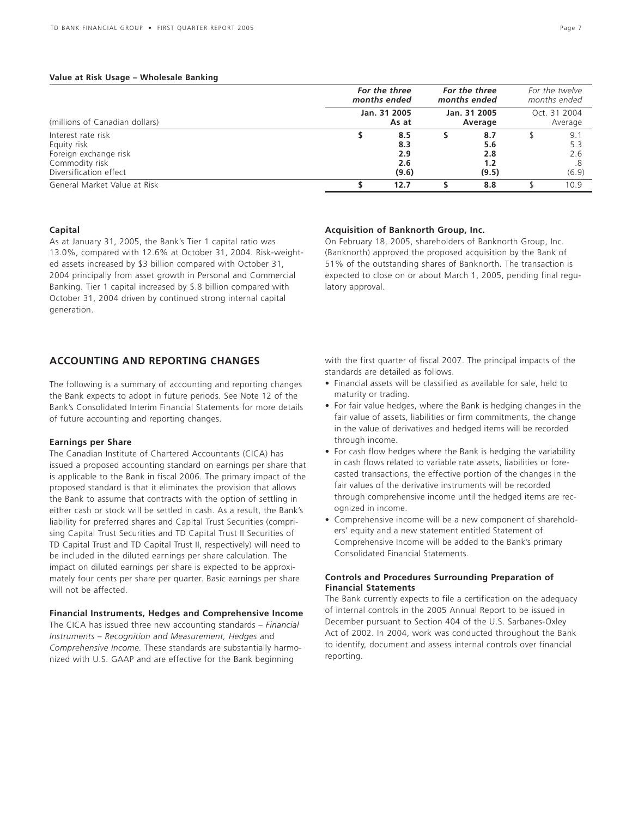### **Value at Risk Usage – Wholesale Banking**

|                                                                                                        | For the three<br>months ended     | For the three<br>months ended |                                   | For the twelve<br>months ended |
|--------------------------------------------------------------------------------------------------------|-----------------------------------|-------------------------------|-----------------------------------|--------------------------------|
| (millions of Canadian dollars)                                                                         | Jan. 31 2005<br>As at             | Jan. 31 2005<br>Average       |                                   | Oct. 31 2004<br>Average        |
| Interest rate risk<br>Equity risk<br>Foreign exchange risk<br>Commodity risk<br>Diversification effect | 8.5<br>8.3<br>2.9<br>2.6<br>(9.6) |                               | 8.7<br>5.6<br>2.8<br>1.2<br>(9.5) | 9.<br>5.3<br>2.6<br>(6.9)      |
| General Market Value at Risk                                                                           | 12.7                              |                               | 8.8                               | 10.9                           |

### **Capital**

As at January 31, 2005, the Bank's Tier 1 capital ratio was 13.0%, compared with 12.6% at October 31, 2004. Risk-weighted assets increased by \$3 billion compared with October 31, 2004 principally from asset growth in Personal and Commercial Banking. Tier 1 capital increased by \$.8 billion compared with October 31, 2004 driven by continued strong internal capital generation.

# **ACCOUNTING AND REPORTING CHANGES**

The following is a summary of accounting and reporting changes the Bank expects to adopt in future periods. See Note 12 of the Bank's Consolidated Interim Financial Statements for more details of future accounting and reporting changes.

### **Earnings per Share**

The Canadian Institute of Chartered Accountants (CICA) has issued a proposed accounting standard on earnings per share that is applicable to the Bank in fiscal 2006. The primary impact of the proposed standard is that it eliminates the provision that allows the Bank to assume that contracts with the option of settling in either cash or stock will be settled in cash. As a result, the Bank's liability for preferred shares and Capital Trust Securities (comprising Capital Trust Securities and TD Capital Trust II Securities of TD Capital Trust and TD Capital Trust II, respectively) will need to be included in the diluted earnings per share calculation. The impact on diluted earnings per share is expected to be approximately four cents per share per quarter. Basic earnings per share will not be affected.

### **Financial Instruments, Hedges and Comprehensive Income**

The CICA has issued three new accounting standards – *Financial Instruments – Recognition and Measurement, Hedges* and *Comprehensive Income.* These standards are substantially harmonized with U.S. GAAP and are effective for the Bank beginning

### **Acquisition of Banknorth Group, Inc.** On February 18, 2005, shareholders of Banknorth Group, Inc.

(Banknorth) approved the proposed acquisition by the Bank of 51% of the outstanding shares of Banknorth. The transaction is expected to close on or about March 1, 2005, pending final regulatory approval.

with the first quarter of fiscal 2007. The principal impacts of the standards are detailed as follows.

- Financial assets will be classified as available for sale, held to maturity or trading.
- For fair value hedges, where the Bank is hedging changes in the fair value of assets, liabilities or firm commitments, the change in the value of derivatives and hedged items will be recorded through income.
- For cash flow hedges where the Bank is hedging the variability in cash flows related to variable rate assets, liabilities or forecasted transactions, the effective portion of the changes in the fair values of the derivative instruments will be recorded through comprehensive income until the hedged items are recognized in income.
- Comprehensive income will be a new component of shareholders' equity and a new statement entitled Statement of Comprehensive Income will be added to the Bank's primary Consolidated Financial Statements.

### **Controls and Procedures Surrounding Preparation of Financial Statements**

The Bank currently expects to file a certification on the adequacy of internal controls in the 2005 Annual Report to be issued in December pursuant to Section 404 of the U.S. Sarbanes-Oxley Act of 2002. In 2004, work was conducted throughout the Bank to identify, document and assess internal controls over financial reporting.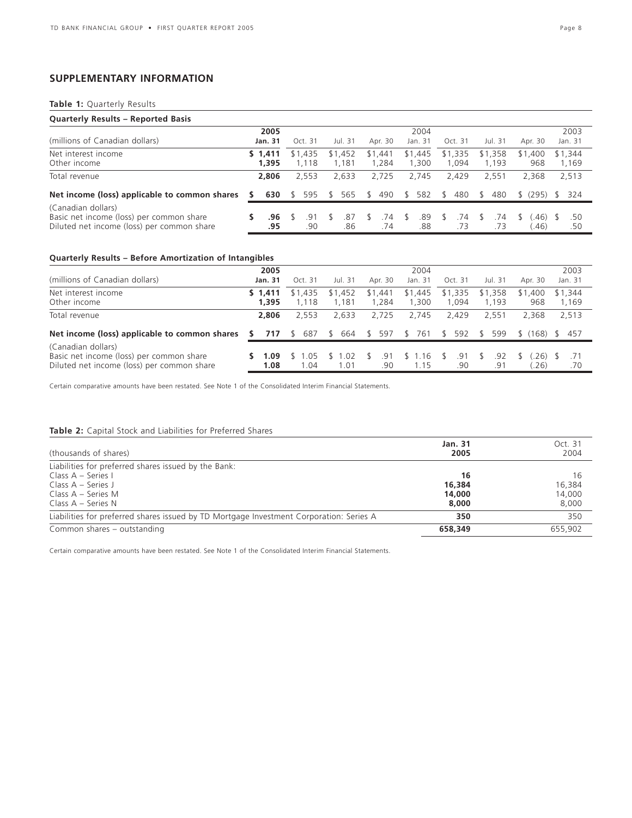# **SUPPLEMENTARY INFORMATION**

## **Table 1:** Quarterly Results

| <b>Quarterly Results - Reported Basis</b>                                                                    |   |                  |         |            |    |                  |     |                  |    |                  |              |                  |     |                  |                |               |                  |
|--------------------------------------------------------------------------------------------------------------|---|------------------|---------|------------|----|------------------|-----|------------------|----|------------------|--------------|------------------|-----|------------------|----------------|---------------|------------------|
|                                                                                                              |   | 2005             |         |            |    |                  |     |                  |    | 2004             |              |                  |     |                  |                |               | 2003             |
| (millions of Canadian dollars)                                                                               |   | <b>Jan. 31</b>   | Oct. 31 |            |    | Jul. 31          |     | Apr. 30          |    | Jan. 31          |              | Oct. 31          |     | Jul. 31          | Apr. 30        |               | Jan. 31          |
| Net interest income<br>Other income                                                                          |   | \$1.411<br>1.395 | \$1,435 | .118       |    | \$1,452<br>1.181 |     | \$1,441<br>1.284 |    | \$1,445<br>1,300 |              | \$1,335<br>1.094 |     | \$1,358<br>1.193 | \$1,400<br>968 |               | \$1.344<br>1,169 |
| Total revenue                                                                                                |   | 2,806            |         | 2.553      |    | 2,633            |     | 2.725            |    | 2.745            |              | 2.429            |     | 2.551            | 2,368          |               | 2,513            |
| Net income (loss) applicable to common shares                                                                | s | 630              |         | 595        | S. | 565              | \$. | 490              | S. | 582              | -S           | 480              | \$. | 480              | \$ (295)       | $\mathcal{S}$ | - 324            |
| (Canadian dollars)<br>Basic net income (loss) per common share<br>Diluted net income (loss) per common share |   | .96<br>.95       |         | .91<br>.90 |    | .87<br>.86       |     | .74<br>.74       | R  | .89<br>.88       | <sup>5</sup> | .74<br>.73       |     | .74<br>.73       | .46)<br>(46)   |               | .50<br>.50       |

# **Quarterly Results – Before Amortization of Intangibles**

|                                                                                                              | 2005             |                     |                  |                  | 2004                |                      |                  |                         | 2003             |
|--------------------------------------------------------------------------------------------------------------|------------------|---------------------|------------------|------------------|---------------------|----------------------|------------------|-------------------------|------------------|
| (millions of Canadian dollars)                                                                               | Jan. 31          | Oct. 31             | Jul. 31          | Apr. 30          | Jan. 31             | Oct. 31              | Jul. 31          | Apr. 30                 | Jan. 31          |
| Net interest income<br>Other income                                                                          | \$1.411<br>1.395 | \$1,435<br>1.118    | \$1,452<br>1.181 | \$1,441<br>1.284 | \$1,445<br>1,300    | \$1,335<br>1.094     | \$1,358<br>1.193 | \$1,400<br>968          | \$1,344<br>1,169 |
| Total revenue                                                                                                | 2,806            | 2.553               | 2.633            | 2.725            | 2.745               | 2.429                | 2.551            | 2.368                   | 2.513            |
| Net income (loss) applicable to common shares                                                                | 717<br>s.        | 687<br><sup>S</sup> | \$ 664           | 597<br>S.        | 761<br><sup>S</sup> | 592<br><sup>\$</sup> | 599              | (168) \$<br>$S_{\perp}$ | -457             |
| (Canadian dollars)<br>Basic net income (loss) per common share<br>Diluted net income (loss) per common share | 1.09<br>1.08     | .05<br>1.04         | .02<br>1.01      | .91<br>.90       | .16<br>1.15         | .91<br>.90           | .92<br>.91       | .26)<br>.26)            | .70              |

Certain comparative amounts have been restated. See Note 1 of the Consolidated Interim Financial Statements.

### **Table 2:** Capital Stock and Liabilities for Preferred Shares

| (thousands of shares)                                                                   | <b>Jan. 31</b><br>2005 | Oct. 31<br>2004 |
|-----------------------------------------------------------------------------------------|------------------------|-----------------|
| Liabilities for preferred shares issued by the Bank:                                    |                        |                 |
| Class A – Series I                                                                      | 16                     | 16              |
| Class $A - Series J$                                                                    | 16,384                 | 16,384          |
| Class A – Series M                                                                      | 14,000                 | 14,000          |
| Class $A -$ Series N                                                                    | 8,000                  | 8,000           |
| Liabilities for preferred shares issued by TD Mortgage Investment Corporation: Series A | 350                    | 350             |
| Common shares - outstanding                                                             | 658,349                | 655,902         |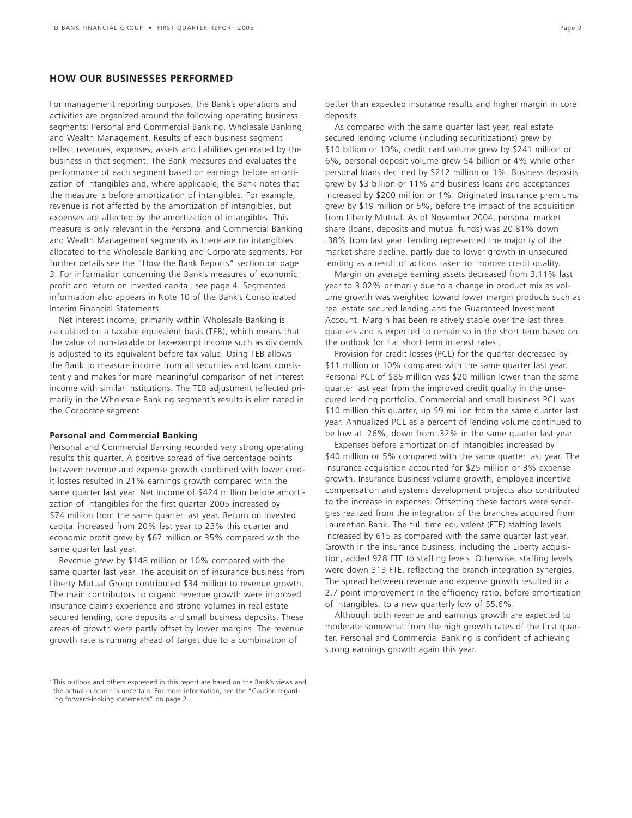# **HOW OUR BUSINESSES PERFORMED**

For management reporting purposes, the Bank's operations and activities are organized around the following operating business segments: Personal and Commercial Banking, Wholesale Banking, and Wealth Management. Results of each business segment reflect revenues, expenses, assets and liabilities generated by the business in that segment. The Bank measures and evaluates the performance of each segment based on earnings before amortization of intangibles and, where applicable, the Bank notes that the measure is before amortization of intangibles. For example, revenue is not affected by the amortization of intangibles, but expenses are affected by the amortization of intangibles. This measure is only relevant in the Personal and Commercial Banking and Wealth Management segments as there are no intangibles allocated to the Wholesale Banking and Corporate segments. For further details see the "How the Bank Reports" section on page 3. For information concerning the Bank's measures of economic profit and return on invested capital, see page 4. Segmented information also appears in Note 10 of the Bank's Consolidated Interim Financial Statements.

Net interest income, primarily within Wholesale Banking is calculated on a taxable equivalent basis (TEB), which means that the value of non-taxable or tax-exempt income such as dividends is adjusted to its equivalent before tax value. Using TEB allows the Bank to measure income from all securities and loans consistently and makes for more meaningful comparison of net interest income with similar institutions. The TEB adjustment reflected primarily in the Wholesale Banking segment's results is eliminated in the Corporate segment.

### **Personal and Commercial Banking**

Personal and Commercial Banking recorded very strong operating results this quarter. A positive spread of five percentage points between revenue and expense growth combined with lower credit losses resulted in 21% earnings growth compared with the same quarter last year. Net income of \$424 million before amortization of intangibles for the first quarter 2005 increased by \$74 million from the same quarter last year. Return on invested capital increased from 20% last year to 23% this quarter and economic profit grew by \$67 million or 35% compared with the same quarter last year.

Revenue grew by \$148 million or 10% compared with the same quarter last year. The acquisition of insurance business from Liberty Mutual Group contributed \$34 million to revenue growth. The main contributors to organic revenue growth were improved insurance claims experience and strong volumes in real estate secured lending, core deposits and small business deposits. These areas of growth were partly offset by lower margins. The revenue growth rate is running ahead of target due to a combination of

<sup>1</sup> This outlook and others expressed in this report are based on the Bank's views and the actual outcome is uncertain. For more information, see the "Caution regarding forward-looking statements" on page 2.

better than expected insurance results and higher margin in core deposits.

As compared with the same quarter last year, real estate secured lending volume (including securitizations) grew by \$10 billion or 10%, credit card volume grew by \$241 million or 6%, personal deposit volume grew \$4 billion or 4% while other personal loans declined by \$212 million or 1%. Business deposits grew by \$3 billion or 11% and business loans and acceptances increased by \$200 million or 1%. Originated insurance premiums grew by \$19 million or 5%, before the impact of the acquisition from Liberty Mutual. As of November 2004, personal market share (loans, deposits and mutual funds) was 20.81% down .38% from last year. Lending represented the majority of the market share decline, partly due to lower growth in unsecured lending as a result of actions taken to improve credit quality.

Margin on average earning assets decreased from 3.11% last year to 3.02% primarily due to a change in product mix as volume growth was weighted toward lower margin products such as real estate secured lending and the Guaranteed Investment Account. Margin has been relatively stable over the last three quarters and is expected to remain so in the short term based on the outlook for flat short term interest rates<sup>1</sup>.

Provision for credit losses (PCL) for the quarter decreased by \$11 million or 10% compared with the same quarter last year. Personal PCL of \$85 million was \$20 million lower than the same quarter last year from the improved credit quality in the unsecured lending portfolio. Commercial and small business PCL was \$10 million this quarter, up \$9 million from the same quarter last year. Annualized PCL as a percent of lending volume continued to be low at .26%, down from .32% in the same quarter last year.

Expenses before amortization of intangibles increased by \$40 million or 5% compared with the same quarter last year. The insurance acquisition accounted for \$25 million or 3% expense growth. Insurance business volume growth, employee incentive compensation and systems development projects also contributed to the increase in expenses. Offsetting these factors were synergies realized from the integration of the branches acquired from Laurentian Bank. The full time equivalent (FTE) staffing levels increased by 615 as compared with the same quarter last year. Growth in the insurance business, including the Liberty acquisition, added 928 FTE to staffing levels. Otherwise, staffing levels were down 313 FTE, reflecting the branch integration synergies. The spread between revenue and expense growth resulted in a 2.7 point improvement in the efficiency ratio, before amortization of intangibles, to a new quarterly low of 55.6%.

Although both revenue and earnings growth are expected to moderate somewhat from the high growth rates of the first quarter, Personal and Commercial Banking is confident of achieving strong earnings growth again this year.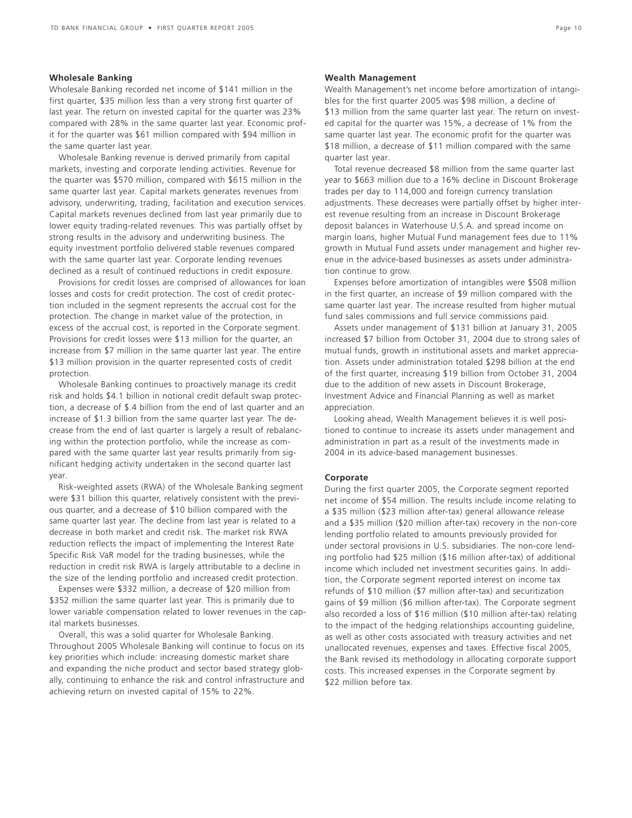### **Wholesale Banking**

Wholesale Banking recorded net income of \$141 million in the first quarter, \$35 million less than a very strong first quarter of last year. The return on invested capital for the quarter was 23% compared with 28% in the same quarter last year. Economic profit for the quarter was \$61 million compared with \$94 million in the same quarter last year.

Wholesale Banking revenue is derived primarily from capital markets, investing and corporate lending activities. Revenue for the quarter was \$570 million, compared with \$615 million in the same quarter last year. Capital markets generates revenues from advisory, underwriting, trading, facilitation and execution services. Capital markets revenues declined from last year primarily due to lower equity trading-related revenues. This was partially offset by strong results in the advisory and underwriting business. The equity investment portfolio delivered stable revenues compared with the same quarter last year. Corporate lending revenues declined as a result of continued reductions in credit exposure.

Provisions for credit losses are comprised of allowances for loan losses and costs for credit protection. The cost of credit protection included in the segment represents the accrual cost for the protection. The change in market value of the protection, in excess of the accrual cost, is reported in the Corporate segment. Provisions for credit losses were \$13 million for the quarter, an increase from \$7 million in the same quarter last year. The entire \$13 million provision in the quarter represented costs of credit protection.

Wholesale Banking continues to proactively manage its credit risk and holds \$4.1 billion in notional credit default swap protection, a decrease of \$.4 billion from the end of last quarter and an increase of \$1.3 billion from the same quarter last year. The decrease from the end of last quarter is largely a result of rebalancing within the protection portfolio, while the increase as compared with the same quarter last year results primarily from significant hedging activity undertaken in the second quarter last year.

Risk-weighted assets (RWA) of the Wholesale Banking segment were \$31 billion this quarter, relatively consistent with the previous quarter, and a decrease of \$10 billion compared with the same quarter last year. The decline from last year is related to a decrease in both market and credit risk. The market risk RWA reduction reflects the impact of implementing the Interest Rate Specific Risk VaR model for the trading businesses, while the reduction in credit risk RWA is largely attributable to a decline in the size of the lending portfolio and increased credit protection.

Expenses were \$332 million, a decrease of \$20 million from \$352 million the same quarter last year. This is primarily due to lower variable compensation related to lower revenues in the capital markets businesses.

Overall, this was a solid quarter for Wholesale Banking. Throughout 2005 Wholesale Banking will continue to focus on its key priorities which include: increasing domestic market share and expanding the niche product and sector based strategy globally, continuing to enhance the risk and control infrastructure and achieving return on invested capital of 15% to 22%.

### **Wealth Management**

Wealth Management's net income before amortization of intangibles for the first quarter 2005 was \$98 million, a decline of \$13 million from the same quarter last year. The return on invested capital for the quarter was 15%, a decrease of 1% from the same quarter last year. The economic profit for the quarter was \$18 million, a decrease of \$11 million compared with the same quarter last year.

Total revenue decreased \$8 million from the same quarter last year to \$663 million due to a 16% decline in Discount Brokerage trades per day to 114,000 and foreign currency translation adjustments. These decreases were partially offset by higher interest revenue resulting from an increase in Discount Brokerage deposit balances in Waterhouse U.S.A. and spread income on margin loans, higher Mutual Fund management fees due to 11% growth in Mutual Fund assets under management and higher revenue in the advice-based businesses as assets under administration continue to grow.

Expenses before amortization of intangibles were \$508 million in the first quarter, an increase of \$9 million compared with the same quarter last year. The increase resulted from higher mutual fund sales commissions and full service commissions paid.

Assets under management of \$131 billion at January 31, 2005 increased \$7 billion from October 31, 2004 due to strong sales of mutual funds, growth in institutional assets and market appreciation. Assets under administration totaled \$298 billion at the end of the first quarter, increasing \$19 billion from October 31, 2004 due to the addition of new assets in Discount Brokerage, Investment Advice and Financial Planning as well as market appreciation.

Looking ahead, Wealth Management believes it is well positioned to continue to increase its assets under management and administration in part as a result of the investments made in 2004 in its advice-based management businesses.

### **Corporate**

During the first quarter 2005, the Corporate segment reported net income of \$54 million. The results include income relating to a \$35 million (\$23 million after-tax) general allowance release and a \$35 million (\$20 million after-tax) recovery in the non-core lending portfolio related to amounts previously provided for under sectoral provisions in U.S. subsidiaries. The non-core lending portfolio had \$25 million (\$16 million after-tax) of additional income which included net investment securities gains. In addition, the Corporate segment reported interest on income tax refunds of \$10 million (\$7 million after-tax) and securitization gains of \$9 million (\$6 million after-tax). The Corporate segment also recorded a loss of \$16 million (\$10 million after-tax) relating to the impact of the hedging relationships accounting guideline, as well as other costs associated with treasury activities and net unallocated revenues, expenses and taxes. Effective fiscal 2005, the Bank revised its methodology in allocating corporate support costs. This increased expenses in the Corporate segment by \$22 million before tax.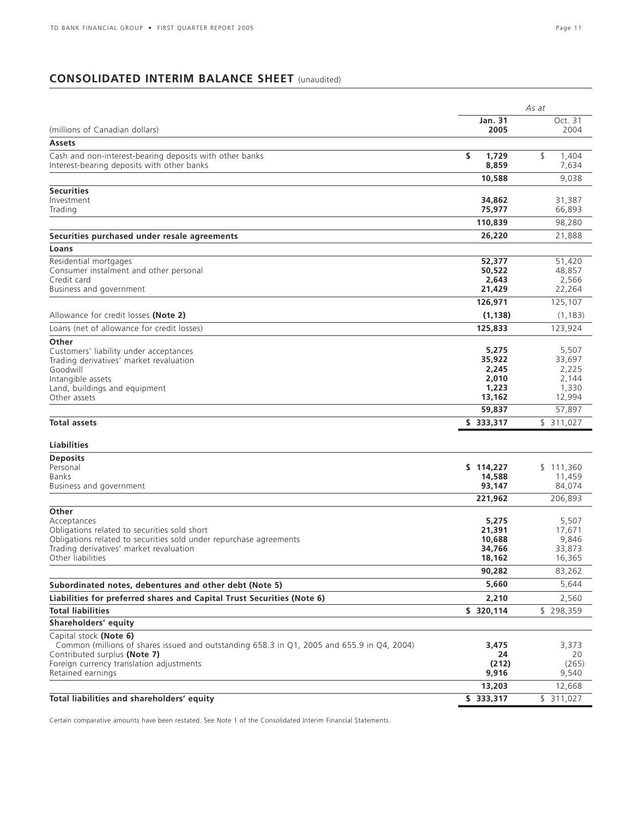# **CONSOLIDATED INTERIM BALANCE SHEET** (unaudited)

|                                                                                                                            |                      | As at                |
|----------------------------------------------------------------------------------------------------------------------------|----------------------|----------------------|
|                                                                                                                            | <b>Jan. 31</b>       | Oct. 31              |
| (millions of Canadian dollars)                                                                                             | 2005                 | 2004                 |
| <b>Assets</b>                                                                                                              |                      |                      |
| Cash and non-interest-bearing deposits with other banks<br>Interest-bearing deposits with other banks                      | \$<br>1,729<br>8,859 | \$<br>1.404<br>7,634 |
|                                                                                                                            | 10,588               | 9,038                |
| <b>Securities</b>                                                                                                          |                      |                      |
| Investment                                                                                                                 | 34,862               | 31,387               |
| Trading                                                                                                                    | 75,977               | 66,893               |
|                                                                                                                            | 110,839              | 98,280               |
| Securities purchased under resale agreements                                                                               | 26,220               | 21,888               |
| Loans                                                                                                                      |                      |                      |
| Residential mortgages<br>Consumer instalment and other personal                                                            | 52,377<br>50,522     | 51,420<br>48,857     |
| Credit card                                                                                                                | 2,643                | 2,566                |
| Business and government                                                                                                    | 21,429               | 22,264               |
|                                                                                                                            | 126,971              | 125,107              |
| Allowance for credit losses (Note 2)                                                                                       | (1, 138)             | (1, 183)             |
| Loans (net of allowance for credit losses)                                                                                 | 125,833              | 123,924              |
| Other                                                                                                                      |                      |                      |
| Customers' liability under acceptances                                                                                     | 5,275                | 5,507                |
| Trading derivatives' market revaluation<br>Goodwill                                                                        | 35,922<br>2,245      | 33,697<br>2,225      |
| Intangible assets                                                                                                          | 2,010                | 2,144                |
| Land, buildings and equipment                                                                                              | 1,223                | 1,330                |
| Other assets                                                                                                               | 13,162               | 12,994               |
|                                                                                                                            | 59,837               | 57,897               |
| <b>Total assets</b>                                                                                                        | \$333,317            | \$311,027            |
| <b>Liabilities</b>                                                                                                         |                      |                      |
| <b>Deposits</b>                                                                                                            |                      |                      |
| Personal                                                                                                                   | \$114,227            | \$111,360            |
| Banks                                                                                                                      | 14,588               | 11,459               |
| Business and government                                                                                                    | 93,147               | 84,074               |
|                                                                                                                            | 221,962              | 206,893              |
| Other                                                                                                                      |                      |                      |
| Acceptances                                                                                                                | 5,275<br>21,391      | 5,507                |
| Obligations related to securities sold short<br>Obligations related to securities sold under repurchase agreements         | 10,688               | 17,671<br>9,846      |
| Trading derivatives' market revaluation                                                                                    | 34,766               | 33,873               |
| Other liabilities                                                                                                          | 18,162               | 16,365               |
|                                                                                                                            | 90,282               | 83,262               |
| Subordinated notes, debentures and other debt (Note 5)                                                                     | 5,660                | 5,644                |
| Liabilities for preferred shares and Capital Trust Securities (Note 6)                                                     | 2,210                | 2,560                |
| <b>Total liabilities</b>                                                                                                   | \$ 320,114           | \$298,359            |
| Shareholders' equity                                                                                                       |                      |                      |
| Capital stock (Note 6)                                                                                                     |                      |                      |
| Common (millions of shares issued and outstanding 658.3 in Q1, 2005 and 655.9 in Q4, 2004)<br>Contributed surplus (Note 7) | 3,475<br>24          | 3,373<br>20          |
| Foreign currency translation adjustments                                                                                   | (212)                | (265)                |
| Retained earnings                                                                                                          | 9,916                | 9,540                |
|                                                                                                                            | 13,203               | 12,668               |
| Total liabilities and shareholders' equity                                                                                 | \$333,317            | \$311,027            |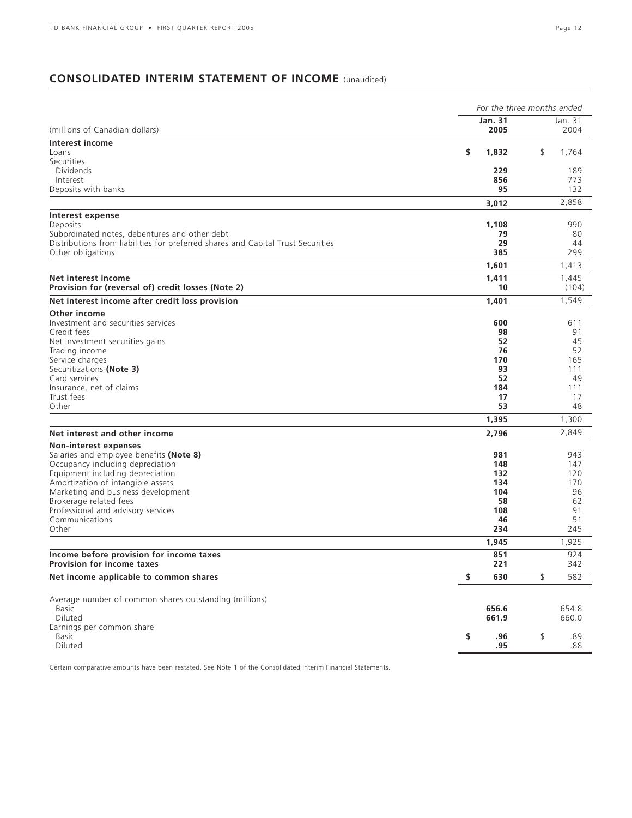# **CONSOLIDATED INTERIM STATEMENT OF INCOME** (unaudited)

|                                                                                  |                        | For the three months ended |  |  |  |  |  |
|----------------------------------------------------------------------------------|------------------------|----------------------------|--|--|--|--|--|
| (millions of Canadian dollars)                                                   | <b>Jan. 31</b><br>2005 | Jan. 31<br>2004            |  |  |  |  |  |
| Interest income                                                                  |                        |                            |  |  |  |  |  |
| Loans                                                                            | \$<br>1,832            | \$<br>1,764                |  |  |  |  |  |
| Securities                                                                       |                        |                            |  |  |  |  |  |
| <b>Dividends</b><br>Interest                                                     | 229<br>856             | 189<br>773                 |  |  |  |  |  |
| Deposits with banks                                                              | 95                     | 132                        |  |  |  |  |  |
|                                                                                  | 3,012                  | 2,858                      |  |  |  |  |  |
| Interest expense                                                                 |                        |                            |  |  |  |  |  |
| Deposits                                                                         | 1,108                  | 990                        |  |  |  |  |  |
| Subordinated notes, debentures and other debt                                    | 79                     | 80                         |  |  |  |  |  |
| Distributions from liabilities for preferred shares and Capital Trust Securities | 29                     | 44                         |  |  |  |  |  |
| Other obligations                                                                | 385                    | 299                        |  |  |  |  |  |
|                                                                                  | 1,601                  | 1,413                      |  |  |  |  |  |
| Net interest income                                                              | 1,411                  | 1,445                      |  |  |  |  |  |
| Provision for (reversal of) credit losses (Note 2)                               | 10                     | (104)                      |  |  |  |  |  |
| Net interest income after credit loss provision                                  | 1,401                  | 1,549                      |  |  |  |  |  |
| Other income                                                                     |                        |                            |  |  |  |  |  |
| Investment and securities services                                               | 600                    | 611                        |  |  |  |  |  |
| Credit fees                                                                      | 98                     | 91                         |  |  |  |  |  |
| Net investment securities gains                                                  | 52                     | 45                         |  |  |  |  |  |
| Trading income                                                                   | 76                     | 52                         |  |  |  |  |  |
| Service charges<br>Securitizations (Note 3)                                      | 170<br>93              | 165<br>111                 |  |  |  |  |  |
| Card services                                                                    | 52                     | 49                         |  |  |  |  |  |
| Insurance, net of claims                                                         | 184                    | 111                        |  |  |  |  |  |
| Trust fees                                                                       | 17                     | 17                         |  |  |  |  |  |
| Other                                                                            | 53                     | 48                         |  |  |  |  |  |
|                                                                                  | 1,395                  | 1,300                      |  |  |  |  |  |
| Net interest and other income                                                    | 2,796                  | 2,849                      |  |  |  |  |  |
| Non-interest expenses                                                            |                        |                            |  |  |  |  |  |
| Salaries and employee benefits (Note 8)                                          | 981                    | 943                        |  |  |  |  |  |
| Occupancy including depreciation                                                 | 148                    | 147                        |  |  |  |  |  |
| Equipment including depreciation                                                 | 132                    | 120                        |  |  |  |  |  |
| Amortization of intangible assets                                                | 134                    | 170                        |  |  |  |  |  |
| Marketing and business development                                               | 104                    | 96                         |  |  |  |  |  |
| Brokerage related fees                                                           | 58                     | 62                         |  |  |  |  |  |
| Professional and advisory services                                               | 108                    | 91                         |  |  |  |  |  |
| Communications                                                                   | 46                     | 51                         |  |  |  |  |  |
| Other                                                                            | 234                    | 245                        |  |  |  |  |  |
|                                                                                  | 1,945                  | 1,925                      |  |  |  |  |  |
| Income before provision for income taxes<br>Provision for income taxes           | 851<br>221             | 924<br>342                 |  |  |  |  |  |
| Net income applicable to common shares                                           | \$<br>630              | \$<br>582                  |  |  |  |  |  |
|                                                                                  |                        |                            |  |  |  |  |  |
| Average number of common shares outstanding (millions)                           |                        |                            |  |  |  |  |  |
| Basic                                                                            | 656.6                  | 654.8                      |  |  |  |  |  |
| Diluted                                                                          | 661.9                  | 660.0                      |  |  |  |  |  |
| Earnings per common share                                                        |                        |                            |  |  |  |  |  |
| <b>Basic</b>                                                                     | \$<br>.96              | \$<br>.89                  |  |  |  |  |  |
| Diluted                                                                          | .95                    | .88                        |  |  |  |  |  |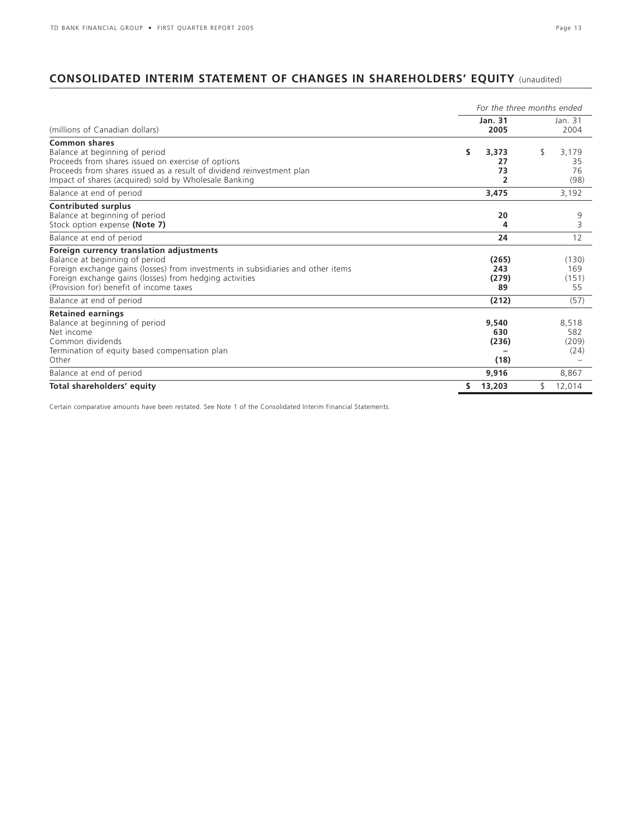# **CONSOLIDATED INTERIM STATEMENT OF CHANGES IN SHAREHOLDERS' EQUITY** (unaudited)

|                                                                                                                                                                                                                                                                      |                               | For the three months ended      |
|----------------------------------------------------------------------------------------------------------------------------------------------------------------------------------------------------------------------------------------------------------------------|-------------------------------|---------------------------------|
| (millions of Canadian dollars)                                                                                                                                                                                                                                       | Jan. 31<br>2005               | Jan. 31<br>2004                 |
| <b>Common shares</b><br>Balance at beginning of period<br>Proceeds from shares issued on exercise of options<br>Proceeds from shares issued as a result of dividend reinvestment plan<br>Impact of shares (acquired) sold by Wholesale Banking                       | \$<br>3,373<br>27<br>73<br>2  | \$<br>3,179<br>35<br>76<br>(98) |
| Balance at end of period                                                                                                                                                                                                                                             | 3,475                         | 3,192                           |
| <b>Contributed surplus</b><br>Balance at beginning of period<br>Stock option expense (Note 7)                                                                                                                                                                        | 20<br>4                       | 9<br>3                          |
| Balance at end of period                                                                                                                                                                                                                                             | 24                            | 12                              |
| Foreign currency translation adjustments<br>Balance at beginning of period<br>Foreign exchange gains (losses) from investments in subsidiaries and other items<br>Foreign exchange gains (losses) from hedging activities<br>(Provision for) benefit of income taxes | (265)<br>243<br>(279)<br>89   | (130)<br>169<br>(151)<br>55     |
| Balance at end of period                                                                                                                                                                                                                                             | (212)                         | (57)                            |
| <b>Retained earnings</b><br>Balance at beginning of period<br>Net income<br>Common dividends<br>Termination of equity based compensation plan<br>Other                                                                                                               | 9,540<br>630<br>(236)<br>(18) | 8,518<br>582<br>(209)<br>(24)   |
| Balance at end of period                                                                                                                                                                                                                                             | 9,916                         | 8,867                           |
| Total shareholders' equity                                                                                                                                                                                                                                           | 13,203<br>S.                  | \$<br>12,014                    |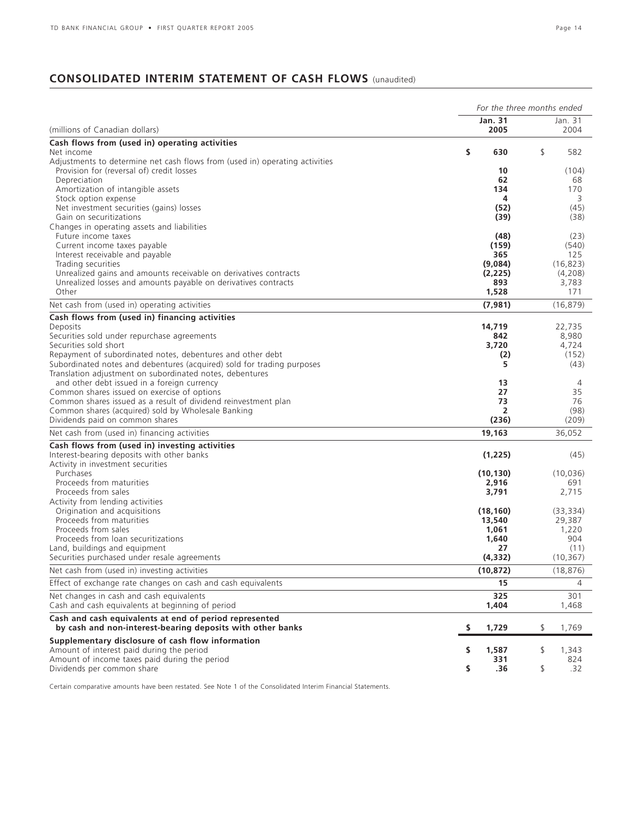# **CONSOLIDATED INTERIM STATEMENT OF CASH FLOWS** (unaudited)

|                                                                                                                      | For the three months ended |                |    |                |  |  |
|----------------------------------------------------------------------------------------------------------------------|----------------------------|----------------|----|----------------|--|--|
|                                                                                                                      |                            | <b>Jan. 31</b> |    | Jan. 31        |  |  |
| (millions of Canadian dollars)                                                                                       |                            | 2005           |    | 2004           |  |  |
| Cash flows from (used in) operating activities<br>Net income                                                         | \$                         | 630            | \$ | 582            |  |  |
| Adjustments to determine net cash flows from (used in) operating activities                                          |                            |                |    |                |  |  |
| Provision for (reversal of) credit losses                                                                            |                            | 10             |    | (104)          |  |  |
| Depreciation                                                                                                         |                            | 62             |    | 68             |  |  |
| Amortization of intangible assets                                                                                    |                            | 134            |    | 170            |  |  |
| Stock option expense                                                                                                 |                            | 4              |    | 3              |  |  |
| Net investment securities (gains) losses<br>Gain on securitizations                                                  |                            | (52)<br>(39)   |    | (45)<br>(38)   |  |  |
| Changes in operating assets and liabilities                                                                          |                            |                |    |                |  |  |
| Future income taxes                                                                                                  |                            | (48)           |    | (23)           |  |  |
| Current income taxes payable                                                                                         |                            | (159)          |    | (540)          |  |  |
| Interest receivable and payable                                                                                      |                            | 365            |    | 125            |  |  |
| Trading securities                                                                                                   |                            | (9,084)        |    | (16, 823)      |  |  |
| Unrealized gains and amounts receivable on derivatives contracts                                                     |                            | (2,225)        |    | (4,208)        |  |  |
| Unrealized losses and amounts payable on derivatives contracts<br>Other                                              |                            | 893<br>1,528   |    | 3,783<br>171   |  |  |
|                                                                                                                      |                            |                |    |                |  |  |
| Net cash from (used in) operating activities                                                                         |                            | (7,981)        |    | (16, 879)      |  |  |
| Cash flows from (used in) financing activities                                                                       |                            |                |    |                |  |  |
| Deposits                                                                                                             |                            | 14,719         |    | 22,735         |  |  |
| Securities sold under repurchase agreements<br>Securities sold short                                                 |                            | 842<br>3,720   |    | 8,980<br>4,724 |  |  |
| Repayment of subordinated notes, debentures and other debt                                                           |                            | (2)            |    | (152)          |  |  |
| Subordinated notes and debentures (acquired) sold for trading purposes                                               |                            | 5              |    | (43)           |  |  |
| Translation adjustment on subordinated notes, debentures                                                             |                            |                |    |                |  |  |
| and other debt issued in a foreign currency                                                                          |                            | 13             |    | $\overline{4}$ |  |  |
| Common shares issued on exercise of options                                                                          |                            | 27             |    | 35             |  |  |
| Common shares issued as a result of dividend reinvestment plan                                                       |                            | 73             |    | 76             |  |  |
| Common shares (acquired) sold by Wholesale Banking                                                                   |                            | 2              |    | (98)           |  |  |
| Dividends paid on common shares                                                                                      |                            | (236)          |    | (209)          |  |  |
| Net cash from (used in) financing activities                                                                         |                            | 19,163         |    | 36,052         |  |  |
| Cash flows from (used in) investing activities                                                                       |                            |                |    |                |  |  |
| Interest-bearing deposits with other banks<br>Activity in investment securities                                      |                            | (1,225)        |    | (45)           |  |  |
| Purchases                                                                                                            |                            | (10, 130)      |    | (10, 036)      |  |  |
| Proceeds from maturities                                                                                             |                            | 2,916          |    | 691            |  |  |
| Proceeds from sales                                                                                                  |                            | 3,791          |    | 2,715          |  |  |
| Activity from lending activities                                                                                     |                            |                |    |                |  |  |
| Origination and acquisitions                                                                                         |                            | (18, 160)      |    | (33, 334)      |  |  |
| Proceeds from maturities                                                                                             |                            | 13,540         |    | 29,387         |  |  |
| Proceeds from sales                                                                                                  |                            | 1,061          |    | 1,220          |  |  |
| Proceeds from loan securitizations<br>Land, buildings and equipment                                                  |                            | 1,640<br>27    |    | 904<br>(11)    |  |  |
| Securities purchased under resale agreements                                                                         |                            | (4, 332)       |    | (10, 367)      |  |  |
| Net cash from (used in) investing activities                                                                         |                            |                |    |                |  |  |
|                                                                                                                      |                            | (10, 872)      |    | (18, 876)      |  |  |
| Effect of exchange rate changes on cash and cash equivalents                                                         |                            | 15             |    | 4              |  |  |
| Net changes in cash and cash equivalents<br>Cash and cash equivalents at beginning of period                         |                            | 325<br>1,404   |    | 301<br>1,468   |  |  |
| Cash and cash equivalents at end of period represented<br>by cash and non-interest-bearing deposits with other banks | s                          | 1,729          | \$ | 1,769          |  |  |
| Supplementary disclosure of cash flow information                                                                    |                            |                |    |                |  |  |
| Amount of interest paid during the period                                                                            | \$                         | 1,587          | \$ | 1,343          |  |  |
| Amount of income taxes paid during the period                                                                        |                            | 331            |    | 824            |  |  |
| Dividends per common share                                                                                           | \$                         | .36            | \$ | .32            |  |  |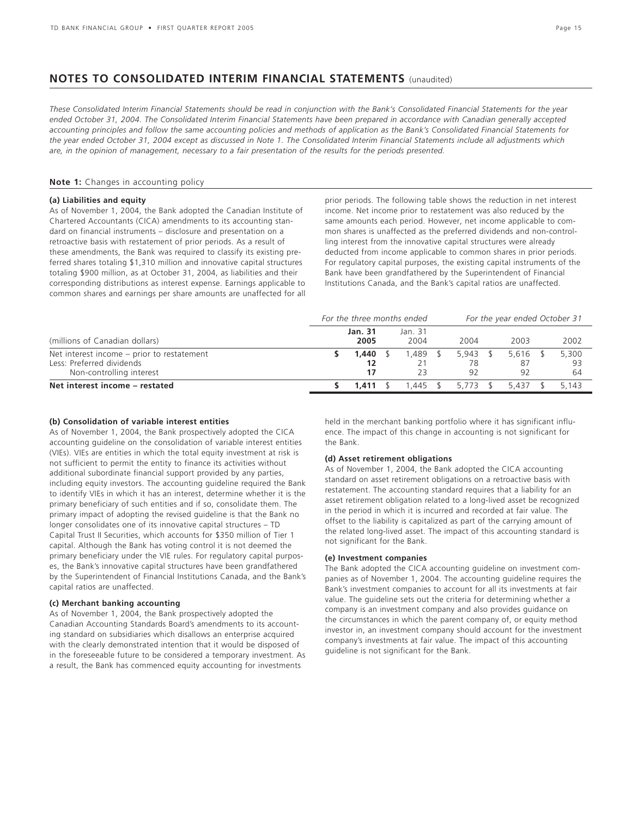# **NOTES TO CONSOLIDATED INTERIM FINANCIAL STATEMENTS** (unaudited)

*These Consolidated Interim Financial Statements should be read in conjunction with the Bank's Consolidated Financial Statements for the year ended October 31, 2004. The Consolidated Interim Financial Statements have been prepared in accordance with Canadian generally accepted accounting principles and follow the same accounting policies and methods of application as the Bank's Consolidated Financial Statements for the year ended October 31, 2004 except as discussed in Note 1. The Consolidated Interim Financial Statements include all adjustments which are, in the opinion of management, necessary to a fair presentation of the results for the periods presented.*

### **Note 1:** Changes in accounting policy

### **(a) Liabilities and equity**

As of November 1, 2004, the Bank adopted the Canadian Institute of Chartered Accountants (CICA) amendments to its accounting standard on financial instruments – disclosure and presentation on a retroactive basis with restatement of prior periods. As a result of these amendments, the Bank was required to classify its existing preferred shares totaling \$1,310 million and innovative capital structures totaling \$900 million, as at October 31, 2004, as liabilities and their corresponding distributions as interest expense. Earnings applicable to common shares and earnings per share amounts are unaffected for all prior periods. The following table shows the reduction in net interest income. Net income prior to restatement was also reduced by the same amounts each period. However, net income applicable to common shares is unaffected as the preferred dividends and non-controlling interest from the innovative capital structures were already deducted from income applicable to common shares in prior periods. For regulatory capital purposes, the existing capital instruments of the Bank have been grandfathered by the Superintendent of Financial Institutions Canada, and the Bank's capital ratios are unaffected.

|                                                                                                     | For the three months ended |  |                 |  |          | For the year ended October 31 |                   |  |                   |  |
|-----------------------------------------------------------------------------------------------------|----------------------------|--|-----------------|--|----------|-------------------------------|-------------------|--|-------------------|--|
| (millions of Canadian dollars)                                                                      | <b>Jan. 31</b><br>2005     |  | Jan. 31<br>2004 |  | 2004     |                               | 2003              |  | 2002              |  |
| Net interest income – prior to restatement<br>Less: Preferred dividends<br>Non-controlling interest | 1,440<br>12                |  | .489 \$         |  | 5.943    |                               | 5.616<br>87<br>92 |  | 5,300<br>93<br>64 |  |
| Net interest income - restated                                                                      | $1.411 \quad$ \$           |  | 1.445 \$        |  | 5.773 \$ |                               | 5437              |  | 5.143             |  |

### **(b) Consolidation of variable interest entities**

As of November 1, 2004, the Bank prospectively adopted the CICA accounting guideline on the consolidation of variable interest entities (VIEs). VIEs are entities in which the total equity investment at risk is not sufficient to permit the entity to finance its activities without additional subordinate financial support provided by any parties, including equity investors. The accounting guideline required the Bank to identify VIEs in which it has an interest, determine whether it is the primary beneficiary of such entities and if so, consolidate them. The primary impact of adopting the revised guideline is that the Bank no longer consolidates one of its innovative capital structures – TD Capital Trust II Securities, which accounts for \$350 million of Tier 1 capital. Although the Bank has voting control it is not deemed the primary beneficiary under the VIE rules. For regulatory capital purposes, the Bank's innovative capital structures have been grandfathered by the Superintendent of Financial Institutions Canada, and the Bank's capital ratios are unaffected.

### **(c) Merchant banking accounting**

As of November 1, 2004, the Bank prospectively adopted the Canadian Accounting Standards Board's amendments to its accounting standard on subsidiaries which disallows an enterprise acquired with the clearly demonstrated intention that it would be disposed of in the foreseeable future to be considered a temporary investment. As a result, the Bank has commenced equity accounting for investments

held in the merchant banking portfolio where it has significant influence. The impact of this change in accounting is not significant for the Bank.

### **(d) Asset retirement obligations**

As of November 1, 2004, the Bank adopted the CICA accounting standard on asset retirement obligations on a retroactive basis with restatement. The accounting standard requires that a liability for an asset retirement obligation related to a long-lived asset be recognized in the period in which it is incurred and recorded at fair value. The offset to the liability is capitalized as part of the carrying amount of the related long-lived asset. The impact of this accounting standard is not significant for the Bank.

### **(e) Investment companies**

The Bank adopted the CICA accounting guideline on investment companies as of November 1, 2004. The accounting guideline requires the Bank's investment companies to account for all its investments at fair value. The guideline sets out the criteria for determining whether a company is an investment company and also provides guidance on the circumstances in which the parent company of, or equity method investor in, an investment company should account for the investment company's investments at fair value. The impact of this accounting guideline is not significant for the Bank.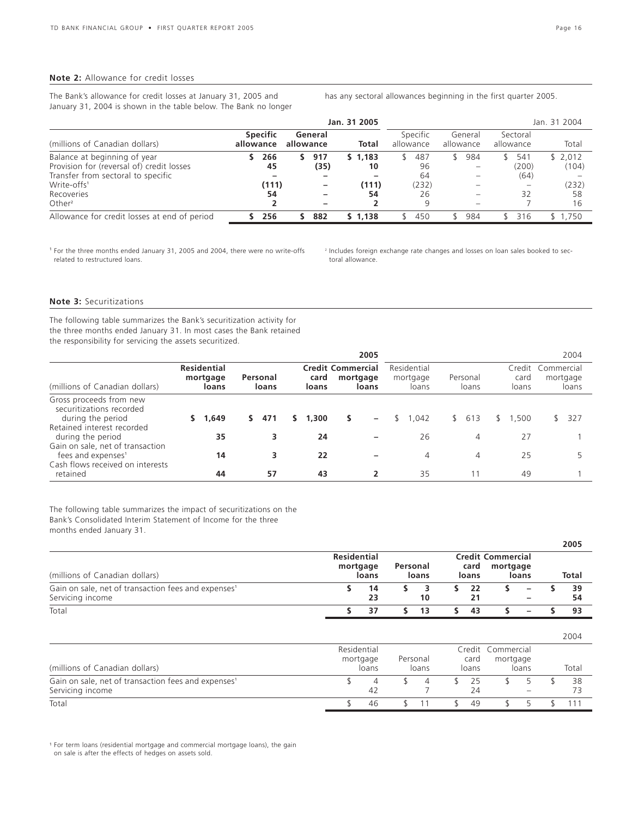### **Note 2:** Allowance for credit losses

The Bank's allowance for credit losses at January 31, 2005 and January 31, 2004 is shown in the table below. The Bank no longer has any sectoral allowances beginning in the first quarter 2005.

|                                                                                                                                                                       |                              |                      | Jan. 31 2005                 |                                     |                      |                            | Jan. 31 2004                          |
|-----------------------------------------------------------------------------------------------------------------------------------------------------------------------|------------------------------|----------------------|------------------------------|-------------------------------------|----------------------|----------------------------|---------------------------------------|
| (millions of Canadian dollars)                                                                                                                                        | <b>Specific</b><br>allowance | General<br>allowance | Total                        | Specific<br>allowance               | General<br>allowance | Sectoral<br>allowance      | Total                                 |
| Balance at beginning of year<br>Provision for (reversal of) credit losses<br>Transfer from sectoral to specific<br>Write-offs <sup>1</sup><br>Recoveries<br>Other $2$ | 266<br>45<br>(111)<br>54     | 917<br>(35)          | \$1,183<br>10<br>(111)<br>54 | 487<br>96<br>64<br>(232)<br>26<br>9 | 984                  | 541<br>(200)<br>(64)<br>32 | \$2,012<br>(104)<br>(232)<br>58<br>16 |
| Allowance for credit losses at end of period                                                                                                                          | 256                          | 882                  | \$1.138                      | 450                                 | 984                  | 316                        | \$1.750                               |

<sup>1</sup> For the three months ended January 31, 2005 and 2004, there were no write-offs related to restructured loans.

<sup>2</sup> Includes foreign exchange rate changes and losses on loan sales booked to sectoral allowance.

# **Note 3:** Securitizations

The following table summarizes the Bank's securitization activity for the three months ended January 31. In most cases the Bank retained the responsibility for servicing the assets securitized.

|                                                                                                        |                                         |                   |               | 2005                                          |                                  |                     |                         | 2004                            |
|--------------------------------------------------------------------------------------------------------|-----------------------------------------|-------------------|---------------|-----------------------------------------------|----------------------------------|---------------------|-------------------------|---------------------------------|
| (millions of Canadian dollars)                                                                         | <b>Residential</b><br>mortgage<br>loans | Personal<br>loans | card<br>loans | <b>Credit Commercial</b><br>mortgage<br>loans | Residential<br>mortgage<br>loans | Personal<br>loans   | Credit<br>card<br>loans | Commercial<br>mortgage<br>loans |
| Gross proceeds from new<br>securitizations recorded<br>during the period                               | 1,649                                   | 471               | 1,300<br>s.   | -                                             | 1.042                            | 613<br>$\mathbb{S}$ | .500                    | 327                             |
| Retained interest recorded<br>during the period                                                        | 35                                      |                   | 24            |                                               | 26                               | 4                   | 27                      |                                 |
| Gain on sale, net of transaction<br>fees and expenses <sup>1</sup><br>Cash flows received on interests | 14                                      |                   | 22            |                                               | 4                                | 4                   | 25                      |                                 |
| retained                                                                                               | 44                                      | 57                | 43            |                                               | 35                               |                     | 49                      |                                 |

The following table summarizes the impact of securitizations on the Bank's Consolidated Interim Statement of Income for the three months ended January 31.

|                                                                                     |                                         |          |       |               |                               |                               | 2005     |
|-------------------------------------------------------------------------------------|-----------------------------------------|----------|-------|---------------|-------------------------------|-------------------------------|----------|
| (millions of Canadian dollars)                                                      | <b>Residential</b><br>mortgage<br>loans | Personal | loans | card<br>loans | Credit Commercial<br>mortgage | loans                         | Total    |
| Gain on sale, net of transaction fees and expenses <sup>1</sup><br>Servicing income | 14<br>23                                |          | 10    | 22            |                               | -<br>$\overline{\phantom{m}}$ | 39<br>54 |
| Total                                                                               | 37                                      |          | 13    | 43            |                               | -                             | 93       |

|                                                                                     |             |                   |                   |               |                               |                                 | 2004  |
|-------------------------------------------------------------------------------------|-------------|-------------------|-------------------|---------------|-------------------------------|---------------------------------|-------|
| (millions of Canadian dollars)                                                      | Residential | mortgage<br>loans | Personal<br>loans | card<br>loans | Credit Commercial<br>mortgage | loans                           | Total |
| Gain on sale, net of transaction fees and expenses <sup>1</sup><br>Servicing income |             | 42                |                   | 25<br>24      |                               | $\hspace{0.1mm}-\hspace{0.1mm}$ | 38    |
| Total                                                                               |             | 46                |                   | 49            |                               |                                 |       |

<sup>1</sup> For term loans (residential mortgage and commercial mortgage loans), the gain on sale is after the effects of hedges on assets sold.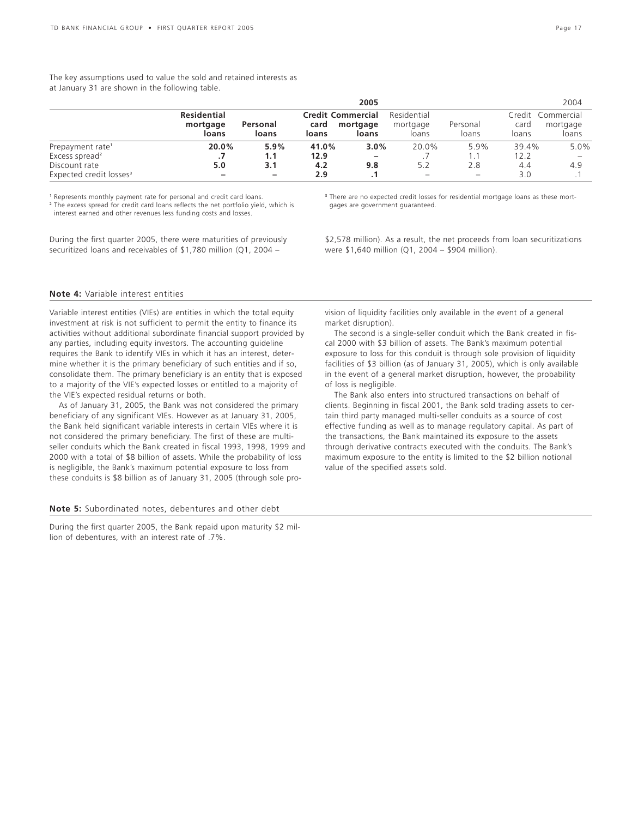The key assumptions used to value the sold and retained interests as at January 31 are shown in the following table.

|                                     |                                         |                   |               | 2005                                          |                                  |                          |               | 2004                                   |
|-------------------------------------|-----------------------------------------|-------------------|---------------|-----------------------------------------------|----------------------------------|--------------------------|---------------|----------------------------------------|
|                                     | <b>Residential</b><br>mortgage<br>loans | Personal<br>loans | card<br>loans | <b>Credit Commercial</b><br>mortgage<br>loans | Residential<br>mortgage<br>loans | Personal<br>loans        | card<br>loans | Credit Commercial<br>mortgage<br>loans |
| Prepayment rate <sup>1</sup>        | 20.0%                                   | 5.9%              | 41.0%         | $3.0\%$                                       | 20.0%                            | $5.9\%$                  | 39.4%         | 5.0%                                   |
| Excess spread <sup>2</sup>          |                                         | 1.1               | 12.9          | $\overline{\phantom{0}}$                      |                                  |                          | 12.2          | $\qquad \qquad -$                      |
| Discount rate                       | 5.0                                     | 3.1               | 4.2           | 9.8                                           | 5.2                              | 2.8                      | 4.4           | 4.9                                    |
| Expected credit losses <sup>3</sup> | -                                       | -                 | 2.9           |                                               | $\hspace{0.1mm}-\hspace{0.1mm}$  | $\overline{\phantom{0}}$ | 3.0           |                                        |

<sup>1</sup> Represents monthly payment rate for personal and credit card loans.

<sup>2</sup> The excess spread for credit card loans reflects the net portfolio yield, which is interest earned and other revenues less funding costs and losses.

During the first quarter 2005, there were maturities of previously securitized loans and receivables of \$1,780 million (Q1, 2004 –

<sup>3</sup> There are no expected credit losses for residential mortgage loans as these mortgages are government guaranteed.

\$2,578 million). As a result, the net proceeds from loan securitizations were \$1,640 million (Q1, 2004 – \$904 million).

### **Note 4:** Variable interest entities

Variable interest entities (VIEs) are entities in which the total equity investment at risk is not sufficient to permit the entity to finance its activities without additional subordinate financial support provided by any parties, including equity investors. The accounting guideline requires the Bank to identify VIEs in which it has an interest, determine whether it is the primary beneficiary of such entities and if so, consolidate them. The primary beneficiary is an entity that is exposed to a majority of the VIE's expected losses or entitled to a majority of the VIE's expected residual returns or both.

As of January 31, 2005, the Bank was not considered the primary beneficiary of any significant VIEs. However as at January 31, 2005, the Bank held significant variable interests in certain VIEs where it is not considered the primary beneficiary. The first of these are multiseller conduits which the Bank created in fiscal 1993, 1998, 1999 and 2000 with a total of \$8 billion of assets. While the probability of loss is negligible, the Bank's maximum potential exposure to loss from these conduits is \$8 billion as of January 31, 2005 (through sole pro-

### **Note 5:** Subordinated notes, debentures and other debt

During the first quarter 2005, the Bank repaid upon maturity \$2 million of debentures, with an interest rate of .7%.

vision of liquidity facilities only available in the event of a general market disruption).

The second is a single-seller conduit which the Bank created in fiscal 2000 with \$3 billion of assets. The Bank's maximum potential exposure to loss for this conduit is through sole provision of liquidity facilities of \$3 billion (as of January 31, 2005), which is only available in the event of a general market disruption, however, the probability of loss is negligible.

The Bank also enters into structured transactions on behalf of clients. Beginning in fiscal 2001, the Bank sold trading assets to certain third party managed multi-seller conduits as a source of cost effective funding as well as to manage regulatory capital. As part of the transactions, the Bank maintained its exposure to the assets through derivative contracts executed with the conduits. The Bank's maximum exposure to the entity is limited to the \$2 billion notional value of the specified assets sold.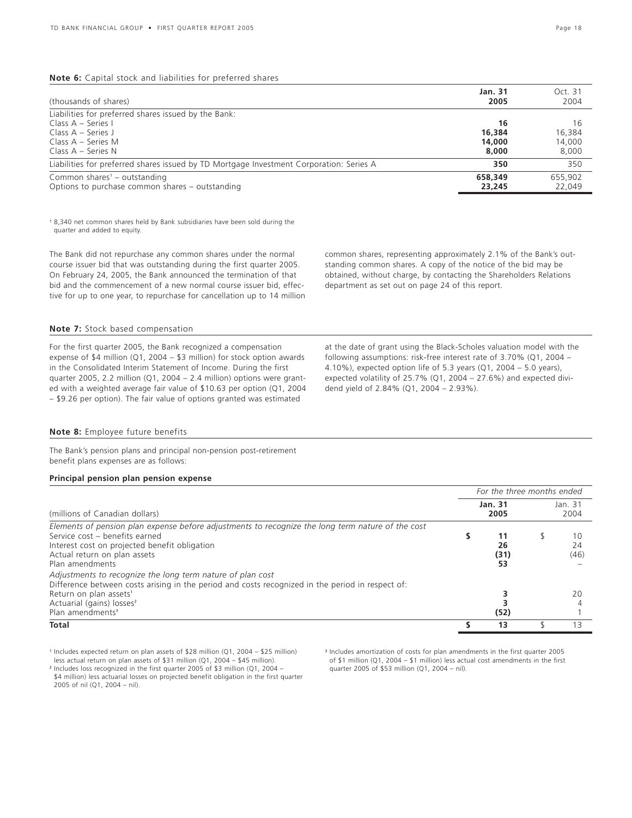### **Note 6:** Capital stock and liabilities for preferred shares

| (thousands of shares)                                                                                | Jan. 31<br>2005   | Oct. 31<br>2004   |
|------------------------------------------------------------------------------------------------------|-------------------|-------------------|
| Liabilities for preferred shares issued by the Bank:<br>Class $A - Series I$<br>Class $A - Series$ J | 16<br>16,384      | 16<br>16,384      |
| Class $A -$ Series M<br>Class $A -$ Series N                                                         | 14,000<br>8,000   | 14.000<br>8,000   |
| Liabilities for preferred shares issued by TD Mortgage Investment Corporation: Series A              | 350               | 350               |
| Common shares <sup>1</sup> – outstanding<br>Options to purchase common shares – outstanding          | 658,349<br>23,245 | 655,902<br>22.049 |

<sup>1</sup> 8,340 net common shares held by Bank subsidiaries have been sold during the quarter and added to equity.

The Bank did not repurchase any common shares under the normal course issuer bid that was outstanding during the first quarter 2005. On February 24, 2005, the Bank announced the termination of that bid and the commencement of a new normal course issuer bid, effective for up to one year, to repurchase for cancellation up to 14 million common shares, representing approximately 2.1% of the Bank's outstanding common shares. A copy of the notice of the bid may be obtained, without charge, by contacting the Shareholders Relations department as set out on page 24 of this report.

### **Note 7:** Stock based compensation

For the first quarter 2005, the Bank recognized a compensation expense of \$4 million (Q1, 2004 – \$3 million) for stock option awards in the Consolidated Interim Statement of Income. During the first quarter 2005, 2.2 million (Q1, 2004 – 2.4 million) options were granted with a weighted average fair value of \$10.63 per option (Q1, 2004 – \$9.26 per option). The fair value of options granted was estimated

at the date of grant using the Black-Scholes valuation model with the following assumptions: risk-free interest rate of 3.70% (Q1, 2004 – 4.10%), expected option life of 5.3 years (Q1, 2004 – 5.0 years), expected volatility of 25.7% (Q1, 2004 – 27.6%) and expected dividend yield of 2.84% (Q1, 2004 – 2.93%).

### **Note 8:** Employee future benefits

The Bank's pension plans and principal non-pension post-retirement benefit plans expenses are as follows:

### **Principal pension plan pension expense**

|                                                                                                                                                                                                                                                                               |  | For the three months ended |                 |                  |  |  |
|-------------------------------------------------------------------------------------------------------------------------------------------------------------------------------------------------------------------------------------------------------------------------------|--|----------------------------|-----------------|------------------|--|--|
| (millions of Canadian dollars)                                                                                                                                                                                                                                                |  | Jan. 31<br>2005            | Jan. 31<br>2004 |                  |  |  |
| Elements of pension plan expense before adjustments to recognize the long term nature of the cost<br>Service cost - benefits earned<br>Interest cost on projected benefit obligation<br>Actual return on plan assets<br>Plan amendments                                       |  | 11<br>26<br>(31)<br>53     |                 | 10<br>24<br>(46) |  |  |
| Adjustments to recognize the long term nature of plan cost<br>Difference between costs arising in the period and costs recognized in the period in respect of:<br>Return on plan assets <sup>1</sup><br>Actuarial (gains) losses <sup>2</sup><br>Plan amendments <sup>3</sup> |  | (52)                       |                 | 20               |  |  |
| Total                                                                                                                                                                                                                                                                         |  | 13                         |                 | 13               |  |  |

<sup>1</sup> Includes expected return on plan assets of \$28 million (Q1, 2004 – \$25 million) less actual return on plan assets of \$31 million (Q1, 2004 – \$45 million).

<sup>2</sup> Includes loss recognized in the first quarter 2005 of \$3 million (Q1, 2004 – \$4 million) less actuarial losses on projected benefit obligation in the first quarter 2005 of nil (Q1, 2004 – nil).

<sup>3</sup> Includes amortization of costs for plan amendments in the first quarter 2005 of \$1 million (Q1, 2004 – \$1 million) less actual cost amendments in the first quarter 2005 of \$53 million (Q1, 2004 – nil).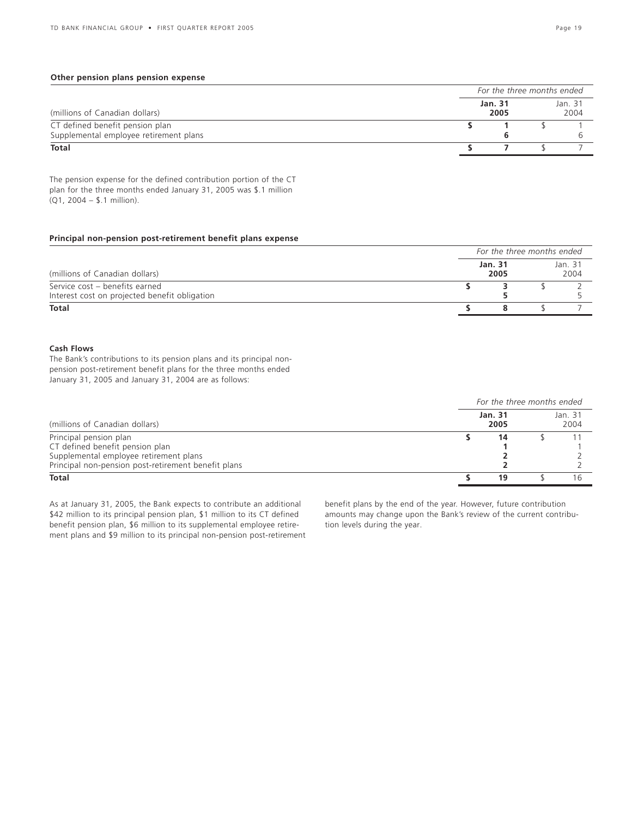### **Other pension plans pension expense**

|                                        | For the three months ended |                 |  |                 |  |  |  |
|----------------------------------------|----------------------------|-----------------|--|-----------------|--|--|--|
| (millions of Canadian dollars)         |                            | Jan. 31<br>2005 |  | Jan. 31<br>2004 |  |  |  |
| CT defined benefit pension plan        |                            |                 |  |                 |  |  |  |
| Supplemental employee retirement plans |                            |                 |  |                 |  |  |  |
| Total                                  |                            |                 |  |                 |  |  |  |

The pension expense for the defined contribution portion of the CT plan for the three months ended January 31, 2005 was \$.1 million (Q1, 2004 – \$.1 million).

### **Principal non-pension post-retirement benefit plans expense**

|                                               | For the three months ended |  |                 |  |  |  |  |
|-----------------------------------------------|----------------------------|--|-----------------|--|--|--|--|
| (millions of Canadian dollars)                | Jan. 31<br>2005            |  | Jan. 31<br>2004 |  |  |  |  |
| Service cost - benefits earned                |                            |  |                 |  |  |  |  |
| Interest cost on projected benefit obligation |                            |  |                 |  |  |  |  |
| <b>Total</b>                                  |                            |  |                 |  |  |  |  |

### **Cash Flows**

The Bank's contributions to its pension plans and its principal nonpension post-retirement benefit plans for the three months ended January 31, 2005 and January 31, 2004 are as follows:

|                                                     | For the three months ended |  |                 |  |  |  |  |
|-----------------------------------------------------|----------------------------|--|-----------------|--|--|--|--|
| (millions of Canadian dollars)                      | Jan. 31<br>2005            |  | Jan. 31<br>2004 |  |  |  |  |
| Principal pension plan                              | 14                         |  |                 |  |  |  |  |
| CT defined benefit pension plan                     |                            |  |                 |  |  |  |  |
| Supplemental employee retirement plans              |                            |  |                 |  |  |  |  |
| Principal non-pension post-retirement benefit plans |                            |  |                 |  |  |  |  |
| Total                                               | 19                         |  |                 |  |  |  |  |

As at January 31, 2005, the Bank expects to contribute an additional \$42 million to its principal pension plan, \$1 million to its CT defined benefit pension plan, \$6 million to its supplemental employee retirement plans and \$9 million to its principal non-pension post-retirement benefit plans by the end of the year. However, future contribution amounts may change upon the Bank's review of the current contribution levels during the year.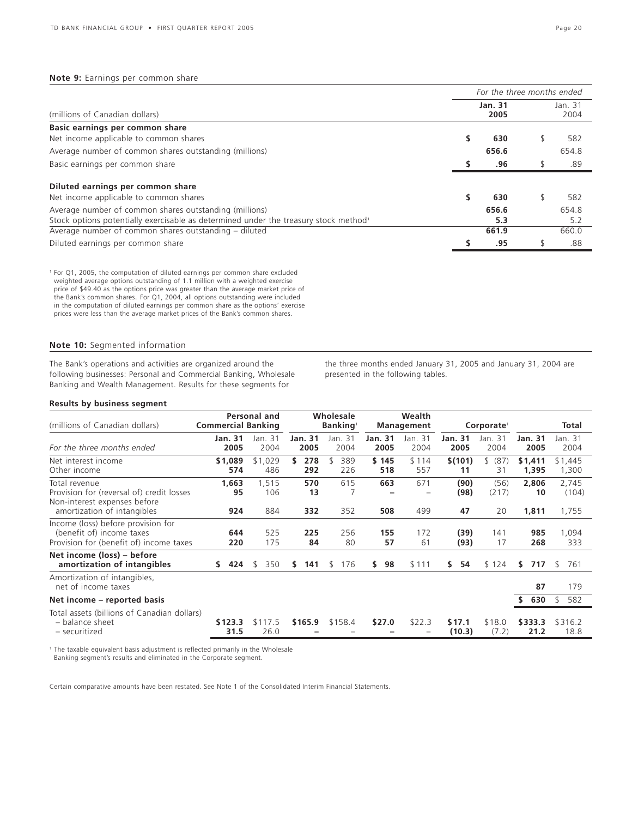### **Note 9:** Earnings per common share

|                                                                                                  | For the three months ended |       |                 |       |  |  |  |
|--------------------------------------------------------------------------------------------------|----------------------------|-------|-----------------|-------|--|--|--|
| (millions of Canadian dollars)                                                                   | <b>Jan. 31</b>             |       | Jan. 31<br>2004 |       |  |  |  |
| Basic earnings per common share                                                                  |                            |       |                 |       |  |  |  |
| Net income applicable to common shares                                                           |                            | 630   |                 | 582   |  |  |  |
| Average number of common shares outstanding (millions)                                           |                            | 656.6 |                 | 654.8 |  |  |  |
| Basic earnings per common share                                                                  |                            | .96   |                 | .89   |  |  |  |
| Diluted earnings per common share                                                                |                            |       |                 |       |  |  |  |
| Net income applicable to common shares                                                           |                            | 630   |                 | 582   |  |  |  |
| Average number of common shares outstanding (millions)                                           |                            | 656.6 |                 | 654.8 |  |  |  |
| Stock options potentially exercisable as determined under the treasury stock method <sup>1</sup> |                            | 5.3   |                 | 5.2   |  |  |  |
| Average number of common shares outstanding – diluted                                            |                            | 661.9 |                 | 660.0 |  |  |  |
| Diluted earnings per common share                                                                |                            | .95   |                 | .88   |  |  |  |

<sup>1</sup> For Q1, 2005, the computation of diluted earnings per common share excluded weighted average options outstanding of 1.1 million with a weighted exercise price of \$49.40 as the options price was greater than the average market price of the Bank's common shares. For Q1, 2004, all options outstanding were included in the computation of diluted earnings per common share as the options' exercise prices were less than the average market prices of the Bank's common shares.

### **Note 10:** Segmented information

The Bank's operations and activities are organized around the following businesses: Personal and Commercial Banking, Wholesale Banking and Wealth Management. Results for these segments for

the three months ended January 31, 2005 and January 31, 2004 are presented in the following tables.

### **Results by business segment**

| (millions of Canadian dollars)                                                                                            | <b>Commercial Banking</b> | Personal and        |                        | Wholesale<br>Banking <sup>1</sup> |                        | Wealth<br><b>Management</b> |                        | Corporate <sup>1</sup> |                      | Total                   |
|---------------------------------------------------------------------------------------------------------------------------|---------------------------|---------------------|------------------------|-----------------------------------|------------------------|-----------------------------|------------------------|------------------------|----------------------|-------------------------|
| For the three months ended                                                                                                | <b>Jan. 31</b><br>2005    | Jan. 31<br>2004     | <b>Jan. 31</b><br>2005 | Jan. 31<br>2004                   | <b>Jan. 31</b><br>2005 | Jan. 31<br>2004             | <b>Jan. 31</b><br>2005 | Jan. 31<br>2004        | Jan. 31<br>2005      | Jan. 31<br>2004         |
| Net interest income<br>Other income                                                                                       | \$1,089<br>574            | \$1,029<br>486      | 278<br>s<br>292        | 389<br>226                        | \$145<br>518           | \$114<br>557                | \$(101)<br>11          | \$ (87)<br>31          | \$1,411<br>1,395     | \$1,445<br>1,300        |
| Total revenue<br>Provision for (reversal of) credit losses<br>Non-interest expenses before<br>amortization of intangibles | 1,663<br>95<br>924        | 1,515<br>106<br>884 | 570<br>13<br>332       | 615<br>352                        | 663<br>508             | 671<br>499                  | (90)<br>(98)<br>47     | (56)<br>(217)<br>20    | 2,806<br>10<br>1,811 | 2,745<br>(104)<br>1,755 |
| Income (loss) before provision for<br>(benefit of) income taxes<br>Provision for (benefit of) income taxes                | 644<br>220                | 525<br>175          | 225<br>84              | 256<br>80                         | 155<br>57              | 172<br>61                   | (39)<br>(93)           | 141<br>17              | 985<br>268           | 1,094<br>333            |
| Net income (loss) - before<br>amortization of intangibles                                                                 | 424<br>S.                 | 350<br>S.           | 141<br>s.              | 176<br>S                          | 98<br>s.               | \$111                       | S.<br>54               | \$124                  | 717<br>S.            | 761<br>S.               |
| Amortization of intangibles,<br>net of income taxes                                                                       |                           |                     |                        |                                   |                        |                             |                        |                        | 87                   | 179                     |
| Net income – reported basis                                                                                               |                           |                     |                        |                                   |                        |                             |                        |                        | 630                  | 582<br>\$               |
| Total assets (billions of Canadian dollars)<br>- balance sheet<br>- securitized                                           | \$123.3<br>31.5           | \$117.5<br>26.0     | \$165.9                | \$158.4                           | \$27.0                 | \$22.3                      | \$17.1<br>(10.3)       | \$18.0<br>(7.2)        | \$333.3<br>21.2      | \$316.2<br>18.8         |

<sup>1</sup> The taxable equivalent basis adjustment is reflected primarily in the Wholesale Banking segment's results and eliminated in the Corporate segment.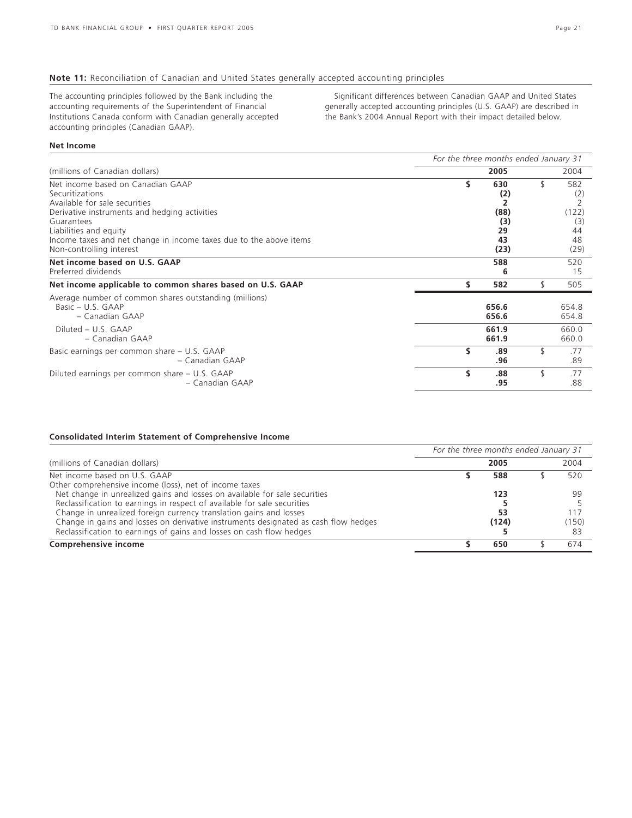## **Note 11:** Reconciliation of Canadian and United States generally accepted accounting principles

The accounting principles followed by the Bank including the accounting requirements of the Superintendent of Financial Institutions Canada conform with Canadian generally accepted accounting principles (Canadian GAAP).

Significant differences between Canadian GAAP and United States generally accepted accounting principles (U.S. GAAP) are described in the Bank's 2004 Annual Report with their impact detailed below.

### **Net Income**

|                                                                                                                                        | For the three months ended January 31 |                         |    |                         |  |  |
|----------------------------------------------------------------------------------------------------------------------------------------|---------------------------------------|-------------------------|----|-------------------------|--|--|
| (millions of Canadian dollars)                                                                                                         |                                       | 2005                    |    | 2004                    |  |  |
| Net income based on Canadian GAAP<br>Securitizations<br>Available for sale securities<br>Derivative instruments and hedging activities | s                                     | 630<br>(2)<br>(88)      | \$ | 582<br>(2)<br>(122)     |  |  |
| Guarantees<br>Liabilities and equity<br>Income taxes and net change in income taxes due to the above items<br>Non-controlling interest |                                       | (3)<br>29<br>43<br>(23) |    | (3)<br>44<br>48<br>(29) |  |  |
| Net income based on U.S. GAAP<br>Preferred dividends                                                                                   |                                       | 588<br>6                |    | 520<br>15               |  |  |
| Net income applicable to common shares based on U.S. GAAP                                                                              | \$                                    | 582                     | \$ | 505                     |  |  |
| Average number of common shares outstanding (millions)<br>Basic $- U.S. GAAP$<br>– Canadian GAAP<br>Diluted - U.S. GAAP                |                                       | 656.6<br>656.6<br>661.9 |    | 654.8<br>654.8<br>660.0 |  |  |
| - Canadian GAAP                                                                                                                        |                                       | 661.9                   |    | 660.0                   |  |  |
| Basic earnings per common share - U.S. GAAP<br>- Canadian GAAP                                                                         | \$                                    | .89<br>.96              | \$ | .77<br>.89              |  |  |
| Diluted earnings per common share - U.S. GAAP<br>- Canadian GAAP                                                                       | Ś.                                    | .88<br>.95              | \$ | .77<br>.88              |  |  |

# **Consolidated Interim Statement of Comprehensive Income**

|                                                                                     | For the three months ended January 31 |       |  |       |  |  |
|-------------------------------------------------------------------------------------|---------------------------------------|-------|--|-------|--|--|
| (millions of Canadian dollars)                                                      |                                       | 2005  |  | 2004  |  |  |
| Net income based on U.S. GAAP                                                       |                                       | 588   |  | 520   |  |  |
| Other comprehensive income (loss), net of income taxes                              |                                       |       |  |       |  |  |
| Net change in unrealized gains and losses on available for sale securities          |                                       | 123   |  | 99    |  |  |
| Reclassification to earnings in respect of available for sale securities            |                                       |       |  |       |  |  |
| Change in unrealized foreign currency translation gains and losses                  |                                       | 53    |  | 117   |  |  |
| Change in gains and losses on derivative instruments designated as cash flow hedges |                                       | (124) |  | (150) |  |  |
| Reclassification to earnings of gains and losses on cash flow hedges                |                                       |       |  | 83    |  |  |
| Comprehensive income                                                                |                                       | 650   |  | 674   |  |  |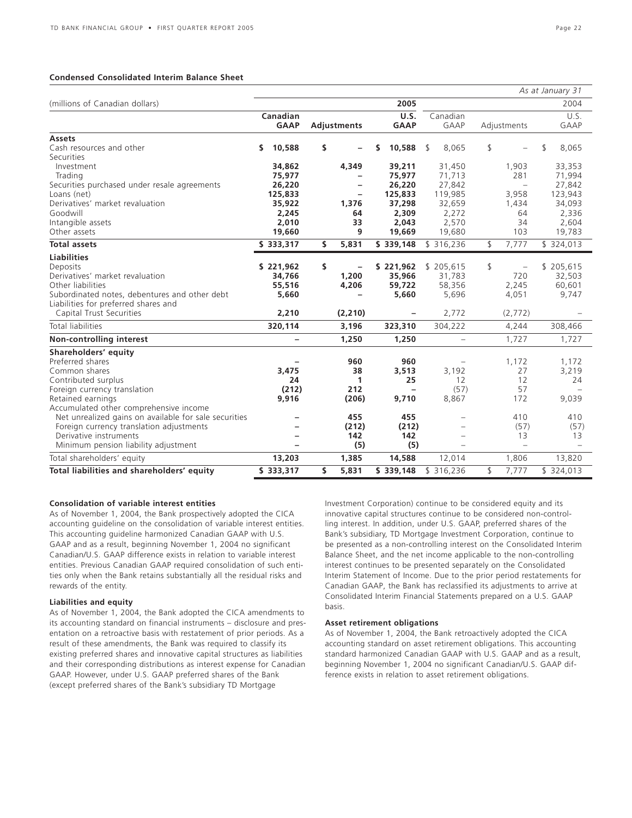### **Condensed Consolidated Interim Balance Sheet**

|                                                       |                                           |    |          |      |                          |                          |             |                          | As at January 31 |
|-------------------------------------------------------|-------------------------------------------|----|----------|------|--------------------------|--------------------------|-------------|--------------------------|------------------|
| (millions of Canadian dollars)                        |                                           |    |          |      | 2005                     |                          |             |                          | 2004             |
|                                                       | Canadian                                  |    |          |      | U.S.                     | Canadian                 |             |                          | U.S.             |
|                                                       | <b>GAAP</b><br><b>GAAP</b><br>Adjustments |    |          | GAAP | Adjustments              |                          | <b>GAAP</b> |                          |                  |
| <b>Assets</b>                                         |                                           |    |          |      |                          |                          |             |                          |                  |
| Cash resources and other                              | 10,588<br>\$                              | \$ |          | s    | 10,588                   | \$<br>8,065              | \$          |                          | \$<br>8,065      |
| Securities                                            |                                           |    |          |      |                          |                          |             |                          |                  |
| Investment                                            | 34,862                                    |    | 4,349    |      | 39,211                   | 31,450                   |             | 1,903                    | 33,353           |
| Trading                                               | 75,977                                    |    |          |      | 75,977                   | 71,713                   |             | 281                      | 71,994           |
| Securities purchased under resale agreements          | 26,220                                    |    | -        |      | 26,220                   | 27,842                   |             | $\overline{\phantom{m}}$ | 27,842           |
| Loans (net)                                           | 125,833                                   |    |          |      | 125,833                  | 119,985                  |             | 3,958                    | 123,943          |
| Derivatives' market revaluation                       | 35,922                                    |    | 1,376    |      | 37,298                   | 32,659                   |             | 1,434                    | 34,093           |
| Goodwill                                              | 2,245                                     |    | 64       |      | 2,309                    | 2,272                    |             | 64<br>34                 | 2,336            |
| Intangible assets<br>Other assets                     | 2,010<br>19,660                           |    | 33<br>9  |      | 2,043<br>19,669          | 2,570<br>19,680          |             | 103                      | 2,604<br>19,783  |
|                                                       |                                           |    |          |      |                          |                          |             |                          |                  |
| <b>Total assets</b>                                   | \$333,317                                 | \$ | 5,831    |      | \$339,148                | \$316,236                | \$          | 7,777                    | \$324,013        |
| <b>Liabilities</b>                                    |                                           |    |          |      |                          |                          |             |                          |                  |
| Deposits                                              | \$221,962                                 | \$ |          |      | \$221,962                | \$205,615                | \$          |                          | \$205,615        |
| Derivatives' market revaluation                       | 34,766                                    |    | 1,200    |      | 35,966                   | 31,783                   |             | 720                      | 32,503           |
| Other liabilities                                     | 55,516                                    |    | 4,206    |      | 59,722                   | 58,356                   |             | 2,245                    | 60,601           |
| Subordinated notes, debentures and other debt         | 5,660                                     |    |          |      | 5,660                    | 5,696                    |             | 4,051                    | 9,747            |
| Liabilities for preferred shares and                  |                                           |    |          |      |                          |                          |             |                          |                  |
| Capital Trust Securities                              | 2,210                                     |    | (2, 210) |      | $\overline{\phantom{a}}$ | 2,772                    |             | (2,772)                  |                  |
| Total liabilities                                     | 320,114                                   |    | 3,196    |      | 323,310                  | 304,222                  |             | 4,244                    | 308,466          |
| Non-controlling interest                              | $\overline{\phantom{0}}$                  |    | 1,250    |      | 1,250                    | $\overline{\phantom{0}}$ |             | 1,727                    | 1,727            |
| Shareholders' equity                                  |                                           |    |          |      |                          |                          |             |                          |                  |
| Preferred shares                                      |                                           |    | 960      |      | 960                      | $\overline{\phantom{0}}$ |             | 1,172                    | 1,172            |
| Common shares                                         | 3,475                                     |    | 38       |      | 3,513                    | 3,192                    |             | 27                       | 3,219            |
| Contributed surplus                                   | 24                                        |    | 1        |      | 25                       | 12                       |             | 12                       | 24               |
| Foreign currency translation                          | (212)                                     |    | 212      |      | $\overline{\phantom{a}}$ | (57)                     |             | 57                       |                  |
| Retained earnings                                     | 9,916                                     |    | (206)    |      | 9,710                    | 8,867                    |             | 172                      | 9,039            |
| Accumulated other comprehensive income                |                                           |    |          |      |                          |                          |             |                          |                  |
| Net unrealized gains on available for sale securities |                                           |    | 455      |      | 455                      | $\overline{\phantom{0}}$ |             | 410                      | 410              |
| Foreign currency translation adjustments              |                                           |    | (212)    |      | (212)                    | $\overline{a}$           |             | (57)                     | (57)             |
| Derivative instruments                                |                                           |    | 142      |      | 142                      | $\overline{\phantom{0}}$ |             | 13                       | 13               |
| Minimum pension liability adjustment                  |                                           |    | (5)      |      | (5)                      | $\overline{\phantom{0}}$ |             | $\overline{a}$           |                  |
| Total shareholders' equity                            | 13,203                                    |    | 1,385    |      | 14,588                   | 12,014                   |             | 1,806                    | 13,820           |
| Total liabilities and shareholders' equity            | \$333,317                                 | \$ | 5,831    |      | \$339,148                | \$316,236                | \$          | 7,777                    | \$324,013        |

### **Consolidation of variable interest entities**

As of November 1, 2004, the Bank prospectively adopted the CICA accounting guideline on the consolidation of variable interest entities. This accounting guideline harmonized Canadian GAAP with U.S. GAAP and as a result, beginning November 1, 2004 no significant Canadian/U.S. GAAP difference exists in relation to variable interest entities. Previous Canadian GAAP required consolidation of such entities only when the Bank retains substantially all the residual risks and rewards of the entity.

### **Liabilities and equity**

As of November 1, 2004, the Bank adopted the CICA amendments to its accounting standard on financial instruments – disclosure and presentation on a retroactive basis with restatement of prior periods. As a result of these amendments, the Bank was required to classify its existing preferred shares and innovative capital structures as liabilities and their corresponding distributions as interest expense for Canadian GAAP. However, under U.S. GAAP preferred shares of the Bank (except preferred shares of the Bank's subsidiary TD Mortgage

Investment Corporation) continue to be considered equity and its innovative capital structures continue to be considered non-controlling interest. In addition, under U.S. GAAP, preferred shares of the Bank's subsidiary, TD Mortgage Investment Corporation, continue to be presented as a non-controlling interest on the Consolidated Interim Balance Sheet, and the net income applicable to the non-controlling interest continues to be presented separately on the Consolidated Interim Statement of Income. Due to the prior period restatements for Canadian GAAP, the Bank has reclassified its adjustments to arrive at Consolidated Interim Financial Statements prepared on a U.S. GAAP basis.

### **Asset retirement obligations**

As of November 1, 2004, the Bank retroactively adopted the CICA accounting standard on asset retirement obligations. This accounting standard harmonized Canadian GAAP with U.S. GAAP and as a result, beginning November 1, 2004 no significant Canadian/U.S. GAAP difference exists in relation to asset retirement obligations.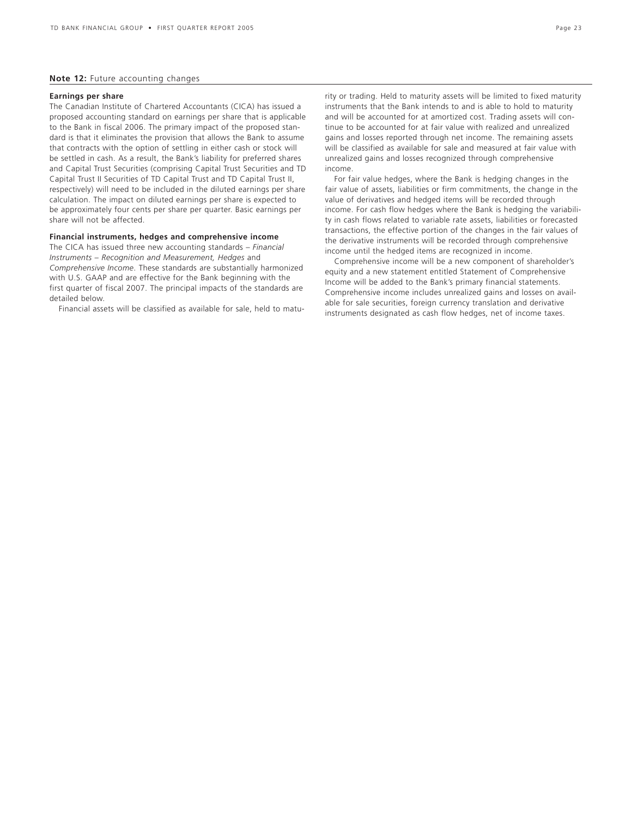### **Note 12:** Future accounting changes

### **Earnings per share**

The Canadian Institute of Chartered Accountants (CICA) has issued a proposed accounting standard on earnings per share that is applicable to the Bank in fiscal 2006. The primary impact of the proposed standard is that it eliminates the provision that allows the Bank to assume that contracts with the option of settling in either cash or stock will be settled in cash. As a result, the Bank's liability for preferred shares and Capital Trust Securities (comprising Capital Trust Securities and TD Capital Trust II Securities of TD Capital Trust and TD Capital Trust II, respectively) will need to be included in the diluted earnings per share calculation. The impact on diluted earnings per share is expected to be approximately four cents per share per quarter. Basic earnings per share will not be affected.

### **Financial instruments, hedges and comprehensive income**

The CICA has issued three new accounting standards – *Financial Instruments – Recognition and Measurement, Hedges* and *Comprehensive Income*. These standards are substantially harmonized with U.S. GAAP and are effective for the Bank beginning with the first quarter of fiscal 2007. The principal impacts of the standards are detailed below.

Financial assets will be classified as available for sale, held to matu-

rity or trading. Held to maturity assets will be limited to fixed maturity instruments that the Bank intends to and is able to hold to maturity and will be accounted for at amortized cost. Trading assets will continue to be accounted for at fair value with realized and unrealized gains and losses reported through net income. The remaining assets will be classified as available for sale and measured at fair value with unrealized gains and losses recognized through comprehensive income.

For fair value hedges, where the Bank is hedging changes in the fair value of assets, liabilities or firm commitments, the change in the value of derivatives and hedged items will be recorded through income. For cash flow hedges where the Bank is hedging the variability in cash flows related to variable rate assets, liabilities or forecasted transactions, the effective portion of the changes in the fair values of the derivative instruments will be recorded through comprehensive income until the hedged items are recognized in income.

Comprehensive income will be a new component of shareholder's equity and a new statement entitled Statement of Comprehensive Income will be added to the Bank's primary financial statements. Comprehensive income includes unrealized gains and losses on available for sale securities, foreign currency translation and derivative instruments designated as cash flow hedges, net of income taxes.